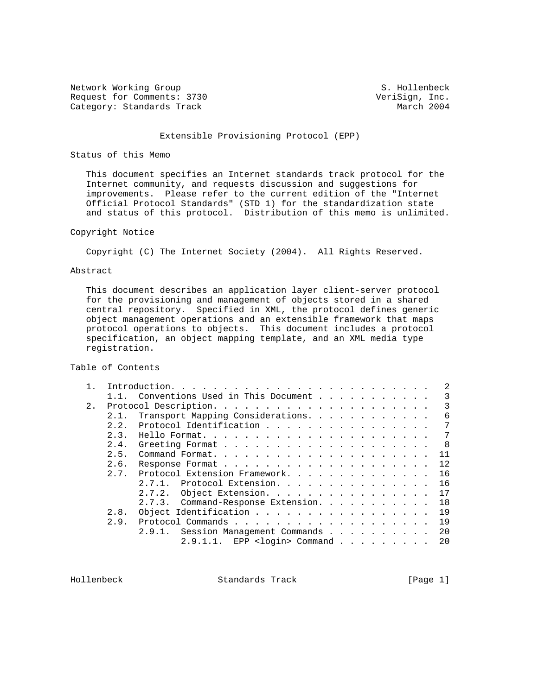Network Working Group S. Hollenbeck Request for Comments: 3730 VeriSign, Inc.<br>
Category: Standards Track Category: March 2004 Category: Standards Track

# Extensible Provisioning Protocol (EPP)

## Status of this Memo

 This document specifies an Internet standards track protocol for the Internet community, and requests discussion and suggestions for improvements. Please refer to the current edition of the "Internet Official Protocol Standards" (STD 1) for the standardization state and status of this protocol. Distribution of this memo is unlimited.

## Copyright Notice

Copyright (C) The Internet Society (2004). All Rights Reserved.

## Abstract

 This document describes an application layer client-server protocol for the provisioning and management of objects stored in a shared central repository. Specified in XML, the protocol defines generic object management operations and an extensible framework that maps protocol operations to objects. This document includes a protocol specification, an object mapping template, and an XML media type registration.

Table of Contents

|    |      |                                          |  |  | $\mathcal{L}$ |
|----|------|------------------------------------------|--|--|---------------|
|    |      | Conventions Used in This Document        |  |  | 3             |
| 2. |      |                                          |  |  | 3             |
|    | 2.1. | Transport Mapping Considerations.        |  |  | 6             |
|    | 2.2. | Protocol Identification                  |  |  | 7             |
|    | 2.3. |                                          |  |  | 7             |
|    | 2.4. |                                          |  |  | 8             |
|    | 2.5. |                                          |  |  | 11            |
|    | 2.6. |                                          |  |  | 12            |
|    | 2.7. | Protocol Extension Framework.            |  |  | 16            |
|    |      | 2.7.1. Protocol Extension.               |  |  | 16            |
|    |      | Object Extension.<br>2.7.2.              |  |  | 17            |
|    |      | 2.7.3. Command-Response Extension.       |  |  | 18            |
|    | 2.8. | Object Identification                    |  |  | 19            |
|    | 2.9. |                                          |  |  | 19            |
|    |      | 2.9.1. Session Management Commands       |  |  | 20            |
|    |      | EPP <login> Command<br/>2.9.1.1.</login> |  |  | 20            |
|    |      |                                          |  |  |               |

Hollenbeck Standards Track [Page 1]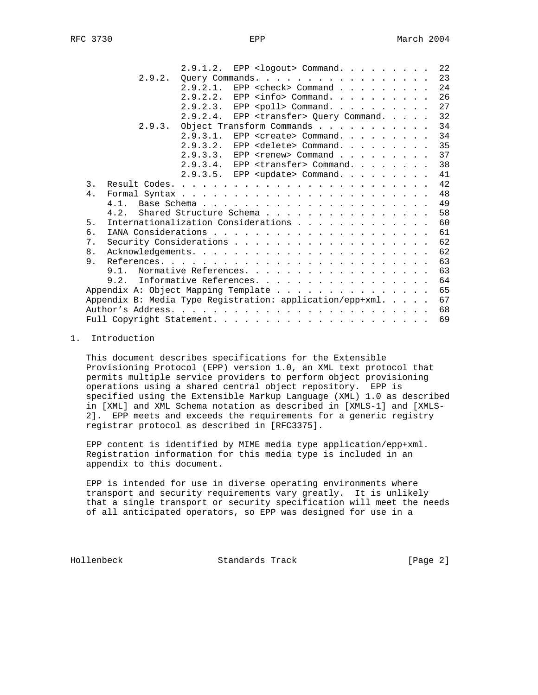|    |                                                           | 2.9.1.2.                                  |            | EPP <logout> Command.</logout>         |  |  |  |    |  |  |  | 22 |
|----|-----------------------------------------------------------|-------------------------------------------|------------|----------------------------------------|--|--|--|----|--|--|--|----|
|    | 2.9.2.                                                    | Query Commands.                           |            |                                        |  |  |  |    |  |  |  | 23 |
|    |                                                           | 2.9.2.1.                                  |            | EPP <check> Command</check>            |  |  |  |    |  |  |  | 24 |
|    |                                                           | 2.9.2.2.                                  |            | EPP $\langle$ info> Command.           |  |  |  |    |  |  |  | 26 |
|    |                                                           | 2.9.2.3.                                  |            | EPP <poll> Command.</poll>             |  |  |  |    |  |  |  | 27 |
|    |                                                           | $2.9.2.4$ .                               |            | EPP $\langle$ transfer> Query Command. |  |  |  |    |  |  |  | 32 |
|    | 2.9.3.                                                    | Object Transform Commands                 |            |                                        |  |  |  |    |  |  |  | 34 |
|    |                                                           | 2.9.3.1.                                  |            | EPP <create> Command.</create>         |  |  |  |    |  |  |  | 34 |
|    |                                                           | 2.9.3.2.                                  |            | EPP <delete> Command.</delete>         |  |  |  |    |  |  |  | 35 |
|    |                                                           | 2.9.3.3.                                  | <b>EPP</b> | <renew> Command</renew>                |  |  |  |    |  |  |  | 37 |
|    |                                                           | 2.9.3.4.                                  |            | EPP <transfer> Command.</transfer>     |  |  |  |    |  |  |  | 38 |
|    |                                                           | $2.9.3.5.$ EPP <update> Command.</update> |            |                                        |  |  |  |    |  |  |  | 41 |
| 3. |                                                           |                                           |            |                                        |  |  |  |    |  |  |  | 42 |
| 4. |                                                           |                                           |            |                                        |  |  |  |    |  |  |  | 48 |
|    | 4.1                                                       |                                           |            |                                        |  |  |  |    |  |  |  | 49 |
|    | 4.2.                                                      | Shared Structure Schema                   |            |                                        |  |  |  |    |  |  |  | 58 |
| 5. | Internationalization Considerations                       |                                           |            |                                        |  |  |  |    |  |  |  | 60 |
| б. |                                                           |                                           |            |                                        |  |  |  |    |  |  |  | 61 |
| 7. |                                                           |                                           |            |                                        |  |  |  |    |  |  |  | 62 |
| 8. |                                                           |                                           |            |                                        |  |  |  |    |  |  |  | 62 |
| 9. |                                                           |                                           |            |                                        |  |  |  |    |  |  |  | 63 |
|    | 9.1. Normative References.                                |                                           |            |                                        |  |  |  |    |  |  |  | 63 |
|    | 9.2.                                                      | Informative References.                   |            |                                        |  |  |  |    |  |  |  | 64 |
|    |                                                           |                                           |            |                                        |  |  |  |    |  |  |  | 65 |
|    | Appendix B: Media Type Registration: application/epp+xml. |                                           |            |                                        |  |  |  |    |  |  |  | 67 |
|    |                                                           |                                           |            |                                        |  |  |  |    |  |  |  | 68 |
|    |                                                           |                                           |            |                                        |  |  |  | 69 |  |  |  |    |

## 1. Introduction

 This document describes specifications for the Extensible Provisioning Protocol (EPP) version 1.0, an XML text protocol that permits multiple service providers to perform object provisioning operations using a shared central object repository. EPP is specified using the Extensible Markup Language (XML) 1.0 as described in [XML] and XML Schema notation as described in [XMLS-1] and [XMLS- 2]. EPP meets and exceeds the requirements for a generic registry registrar protocol as described in [RFC3375].

 EPP content is identified by MIME media type application/epp+xml. Registration information for this media type is included in an appendix to this document.

 EPP is intended for use in diverse operating environments where transport and security requirements vary greatly. It is unlikely that a single transport or security specification will meet the needs of all anticipated operators, so EPP was designed for use in a

Hollenbeck Standards Track [Page 2]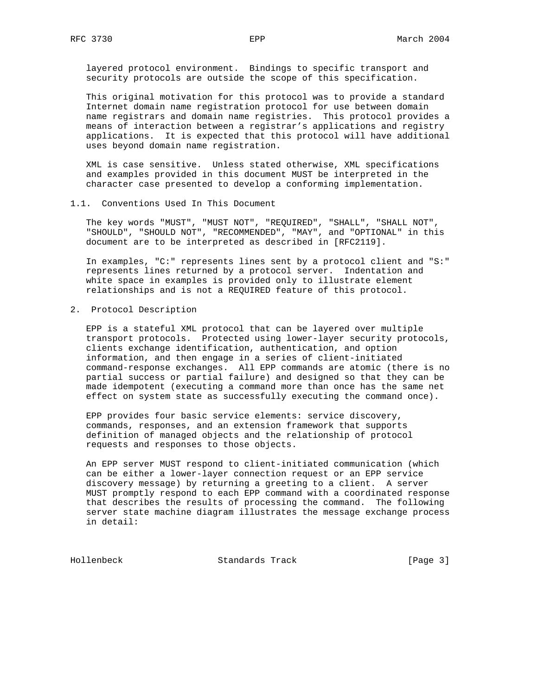layered protocol environment. Bindings to specific transport and security protocols are outside the scope of this specification.

 This original motivation for this protocol was to provide a standard Internet domain name registration protocol for use between domain name registrars and domain name registries. This protocol provides a means of interaction between a registrar's applications and registry applications. It is expected that this protocol will have additional uses beyond domain name registration.

 XML is case sensitive. Unless stated otherwise, XML specifications and examples provided in this document MUST be interpreted in the character case presented to develop a conforming implementation.

1.1. Conventions Used In This Document

 The key words "MUST", "MUST NOT", "REQUIRED", "SHALL", "SHALL NOT", "SHOULD", "SHOULD NOT", "RECOMMENDED", "MAY", and "OPTIONAL" in this document are to be interpreted as described in [RFC2119].

 In examples, "C:" represents lines sent by a protocol client and "S:" represents lines returned by a protocol server. Indentation and white space in examples is provided only to illustrate element relationships and is not a REQUIRED feature of this protocol.

2. Protocol Description

 EPP is a stateful XML protocol that can be layered over multiple transport protocols. Protected using lower-layer security protocols, clients exchange identification, authentication, and option information, and then engage in a series of client-initiated command-response exchanges. All EPP commands are atomic (there is no partial success or partial failure) and designed so that they can be made idempotent (executing a command more than once has the same net effect on system state as successfully executing the command once).

 EPP provides four basic service elements: service discovery, commands, responses, and an extension framework that supports definition of managed objects and the relationship of protocol requests and responses to those objects.

 An EPP server MUST respond to client-initiated communication (which can be either a lower-layer connection request or an EPP service discovery message) by returning a greeting to a client. A server MUST promptly respond to each EPP command with a coordinated response that describes the results of processing the command. The following server state machine diagram illustrates the message exchange process in detail:

Hollenbeck Standards Track [Page 3]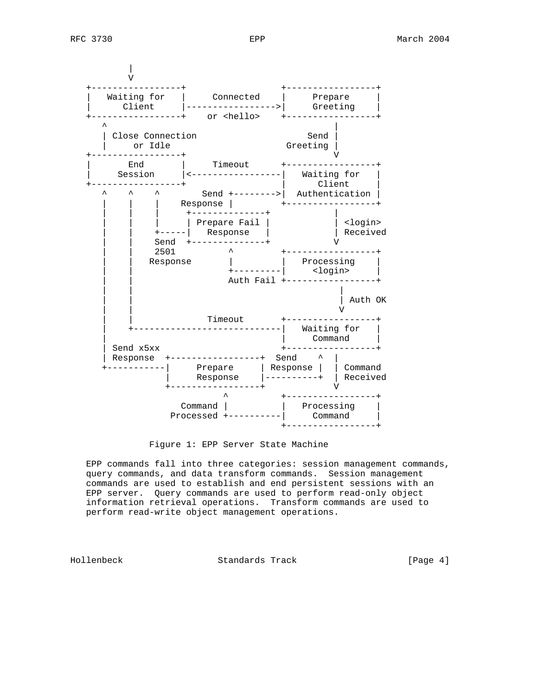| V +-----------------+ +-----------------+ | Waiting for | Connected | Prepare | | Client |----------------->| Greeting | +-----------------+ or <hello> +-----------------+ ^ | | Close Connection Send | | or Idle<br>---------------+ +-----------------+ V | End | Timeout +-----------------+ | Session |<-----------------| Waiting for | +-----------------+ | Client | ^ ^ ^ Send +-------->| Authentication | | | | Response | +-----------------+ | | | | | +--------------+ | | | | | | Prepare Fail | | <login> | | +-----| Response | | Received | | Send +--------------+ V | | 2501 ^ +-----------------+ | | Response | | Processing | | | +---------| <login> | Auth Fail +-----------------+ | | | | Auth OK | | V | | Timeout +-----------------+ | +----------------------------| Waiting for | | | Command | | Send x5xx +-----------------+ | Response +-----------------+ Send ^ | +-----------| Prepare | Response | | Command | Response |----------+ | Received +-----------------+ V ^ +-----------------+ Command | | Processing | Processed +----------| Command | +-----------------+

Figure 1: EPP Server State Machine

 EPP commands fall into three categories: session management commands, query commands, and data transform commands. Session management commands are used to establish and end persistent sessions with an EPP server. Query commands are used to perform read-only object information retrieval operations. Transform commands are used to perform read-write object management operations.

Hollenbeck Standards Track [Page 4]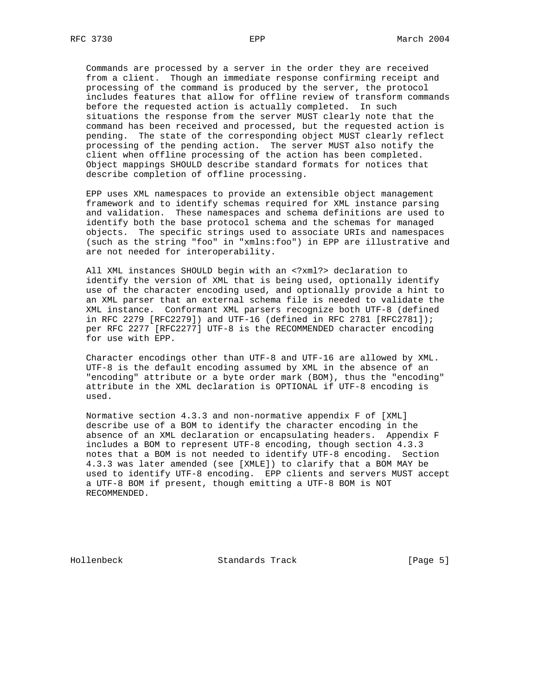Commands are processed by a server in the order they are received from a client. Though an immediate response confirming receipt and processing of the command is produced by the server, the protocol includes features that allow for offline review of transform commands before the requested action is actually completed. In such situations the response from the server MUST clearly note that the command has been received and processed, but the requested action is pending. The state of the corresponding object MUST clearly reflect processing of the pending action. The server MUST also notify the client when offline processing of the action has been completed. Object mappings SHOULD describe standard formats for notices that describe completion of offline processing.

 EPP uses XML namespaces to provide an extensible object management framework and to identify schemas required for XML instance parsing and validation. These namespaces and schema definitions are used to identify both the base protocol schema and the schemas for managed objects. The specific strings used to associate URIs and namespaces (such as the string "foo" in "xmlns:foo") in EPP are illustrative and are not needed for interoperability.

 All XML instances SHOULD begin with an <?xml?> declaration to identify the version of XML that is being used, optionally identify use of the character encoding used, and optionally provide a hint to an XML parser that an external schema file is needed to validate the XML instance. Conformant XML parsers recognize both UTF-8 (defined in RFC 2279 [RFC2279]) and UTF-16 (defined in RFC 2781 [RFC2781]); per RFC 2277 [RFC2277] UTF-8 is the RECOMMENDED character encoding for use with EPP.

 Character encodings other than UTF-8 and UTF-16 are allowed by XML. UTF-8 is the default encoding assumed by XML in the absence of an "encoding" attribute or a byte order mark (BOM), thus the "encoding" attribute in the XML declaration is OPTIONAL if UTF-8 encoding is used.

 Normative section 4.3.3 and non-normative appendix F of [XML] describe use of a BOM to identify the character encoding in the absence of an XML declaration or encapsulating headers. Appendix F includes a BOM to represent UTF-8 encoding, though section 4.3.3 notes that a BOM is not needed to identify UTF-8 encoding. Section 4.3.3 was later amended (see [XMLE]) to clarify that a BOM MAY be used to identify UTF-8 encoding. EPP clients and servers MUST accept a UTF-8 BOM if present, though emitting a UTF-8 BOM is NOT RECOMMENDED.

Hollenbeck Standards Track [Page 5]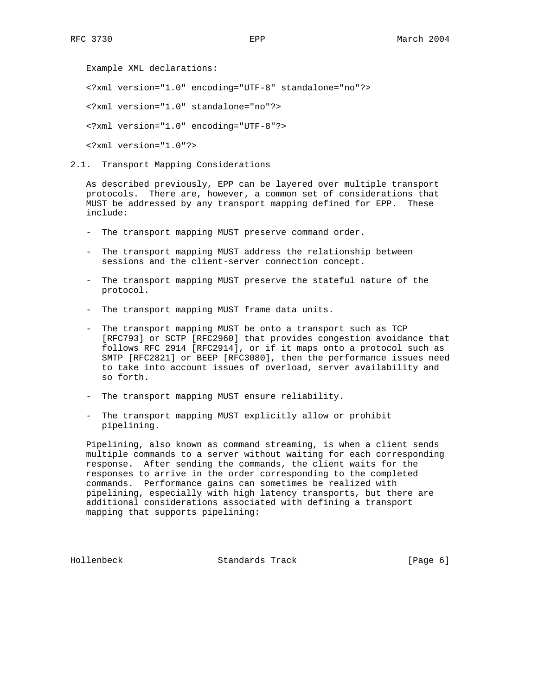Example XML declarations:

<?xml version="1.0" encoding="UTF-8" standalone="no"?>

<?xml version="1.0" standalone="no"?>

<?xml version="1.0" encoding="UTF-8"?>

<?xml version="1.0"?>

2.1. Transport Mapping Considerations

 As described previously, EPP can be layered over multiple transport protocols. There are, however, a common set of considerations that MUST be addressed by any transport mapping defined for EPP. These include:

- The transport mapping MUST preserve command order.
- The transport mapping MUST address the relationship between sessions and the client-server connection concept.
- The transport mapping MUST preserve the stateful nature of the protocol.
- The transport mapping MUST frame data units.
- The transport mapping MUST be onto a transport such as TCP [RFC793] or SCTP [RFC2960] that provides congestion avoidance that follows RFC 2914 [RFC2914], or if it maps onto a protocol such as SMTP [RFC2821] or BEEP [RFC3080], then the performance issues need to take into account issues of overload, server availability and so forth.
- The transport mapping MUST ensure reliability.
- The transport mapping MUST explicitly allow or prohibit pipelining.

 Pipelining, also known as command streaming, is when a client sends multiple commands to a server without waiting for each corresponding response. After sending the commands, the client waits for the responses to arrive in the order corresponding to the completed commands. Performance gains can sometimes be realized with pipelining, especially with high latency transports, but there are additional considerations associated with defining a transport mapping that supports pipelining:

Hollenbeck Standards Track [Page 6]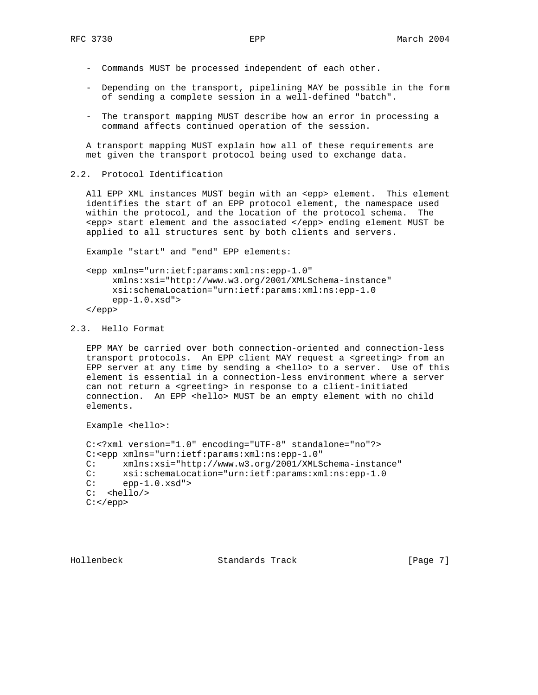- Commands MUST be processed independent of each other.
- Depending on the transport, pipelining MAY be possible in the form of sending a complete session in a well-defined "batch".
- The transport mapping MUST describe how an error in processing a command affects continued operation of the session.

 A transport mapping MUST explain how all of these requirements are met given the transport protocol being used to exchange data.

2.2. Protocol Identification

 All EPP XML instances MUST begin with an <epp> element. This element identifies the start of an EPP protocol element, the namespace used within the protocol, and the location of the protocol schema. The <epp> start element and the associated </epp> ending element MUST be applied to all structures sent by both clients and servers.

Example "start" and "end" EPP elements:

 <epp xmlns="urn:ietf:params:xml:ns:epp-1.0" xmlns:xsi="http://www.w3.org/2001/XMLSchema-instance" xsi:schemaLocation="urn:ietf:params:xml:ns:epp-1.0  $epp-1.0.xsd"$ </epp>

#### 2.3. Hello Format

 EPP MAY be carried over both connection-oriented and connection-less transport protocols. An EPP client MAY request a <greeting> from an EPP server at any time by sending a <hello> to a server. Use of this element is essential in a connection-less environment where a server can not return a <greeting> in response to a client-initiated connection. An EPP <hello> MUST be an empty element with no child elements.

```
 Example <hello>:
```

```
 C:<?xml version="1.0" encoding="UTF-8" standalone="no"?>
 C:<epp xmlns="urn:ietf:params:xml:ns:epp-1.0"
C: xmlns:xsi="http://www.w3.org/2001/XMLSchema-instance"<br>C: xsi:schemaLocation="urn:ietf:params:xml:ns:epp-1.0
       C: xsi:schemaLocation="urn:ietf:params:xml:ns:epp-1.0
C: epp-1.0.xsd" C: <hello/>
 C:</epp>
```
Hollenbeck Standards Track [Page 7]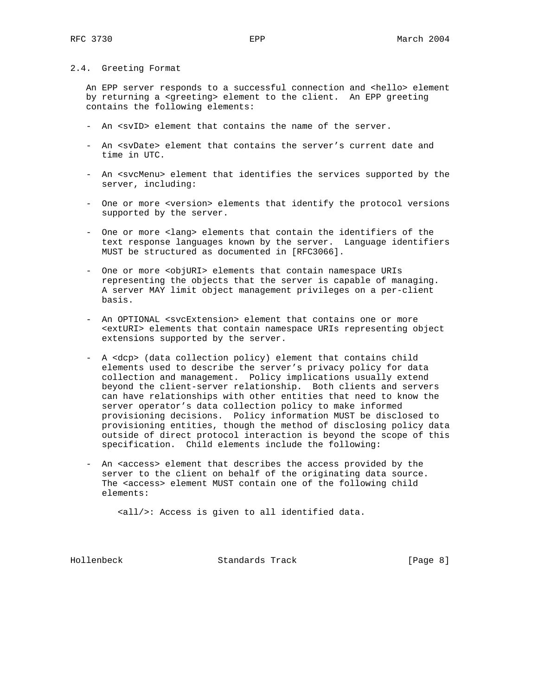#### 2.4. Greeting Format

An EPP server responds to a successful connection and <hello> element by returning a <greeting> element to the client. An EPP greeting contains the following elements:

- An <svID> element that contains the name of the server.
- An <svDate> element that contains the server's current date and time in UTC.
- An <svcMenu> element that identifies the services supported by the server, including:
- One or more <version> elements that identify the protocol versions supported by the server.
- One or more <lang> elements that contain the identifiers of the text response languages known by the server. Language identifiers MUST be structured as documented in [RFC3066].
- One or more <objURI> elements that contain namespace URIs representing the objects that the server is capable of managing. A server MAY limit object management privileges on a per-client basis.
- An OPTIONAL <svcExtension> element that contains one or more <extURI> elements that contain namespace URIs representing object extensions supported by the server.
- A <dcp> (data collection policy) element that contains child elements used to describe the server's privacy policy for data collection and management. Policy implications usually extend beyond the client-server relationship. Both clients and servers can have relationships with other entities that need to know the server operator's data collection policy to make informed provisioning decisions. Policy information MUST be disclosed to provisioning entities, though the method of disclosing policy data outside of direct protocol interaction is beyond the scope of this specification. Child elements include the following:
- An <access> element that describes the access provided by the server to the client on behalf of the originating data source. The <access> element MUST contain one of the following child elements:

<all/>: Access is given to all identified data.

Hollenbeck Standards Track [Page 8]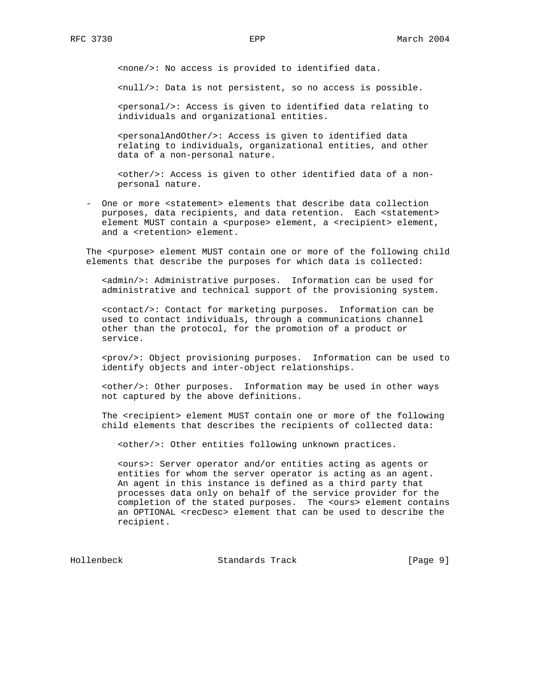<none/>: No access is provided to identified data.

<null/>: Data is not persistent, so no access is possible.

 <personal/>: Access is given to identified data relating to individuals and organizational entities.

 <personalAndOther/>: Access is given to identified data relating to individuals, organizational entities, and other data of a non-personal nature.

 <other/>: Access is given to other identified data of a non personal nature.

 - One or more <statement> elements that describe data collection purposes, data recipients, and data retention. Each <statement> element MUST contain a <purpose> element, a <recipient> element, and a <retention> element.

 The <purpose> element MUST contain one or more of the following child elements that describe the purposes for which data is collected:

 <admin/>: Administrative purposes. Information can be used for administrative and technical support of the provisioning system.

 <contact/>: Contact for marketing purposes. Information can be used to contact individuals, through a communications channel other than the protocol, for the promotion of a product or service.

 <prov/>: Object provisioning purposes. Information can be used to identify objects and inter-object relationships.

 <other/>: Other purposes. Information may be used in other ways not captured by the above definitions.

 The <recipient> element MUST contain one or more of the following child elements that describes the recipients of collected data:

<other/>: Other entities following unknown practices.

 <ours>: Server operator and/or entities acting as agents or entities for whom the server operator is acting as an agent. An agent in this instance is defined as a third party that processes data only on behalf of the service provider for the completion of the stated purposes. The <ours> element contains an OPTIONAL <recDesc> element that can be used to describe the recipient.

Hollenbeck Standards Track [Page 9]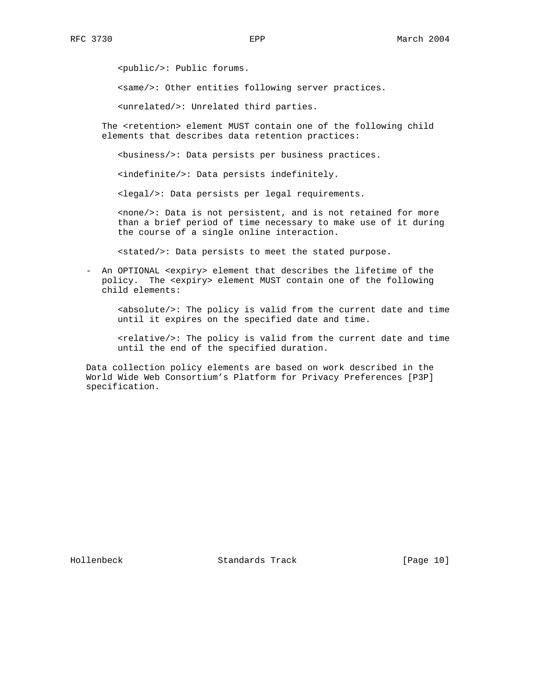<public/>: Public forums.

<same/>: Other entities following server practices.

<unrelated/>: Unrelated third parties.

 The <retention> element MUST contain one of the following child elements that describes data retention practices:

<business/>: Data persists per business practices.

<indefinite/>: Data persists indefinitely.

<legal/>: Data persists per legal requirements.

 <none/>: Data is not persistent, and is not retained for more than a brief period of time necessary to make use of it during the course of a single online interaction.

<stated/>: Data persists to meet the stated purpose.

 - An OPTIONAL <expiry> element that describes the lifetime of the policy. The <expiry> element MUST contain one of the following child elements:

 <absolute/>: The policy is valid from the current date and time until it expires on the specified date and time.

 <relative/>: The policy is valid from the current date and time until the end of the specified duration.

 Data collection policy elements are based on work described in the World Wide Web Consortium's Platform for Privacy Preferences [P3P] specification.

Hollenbeck Standards Track [Page 10]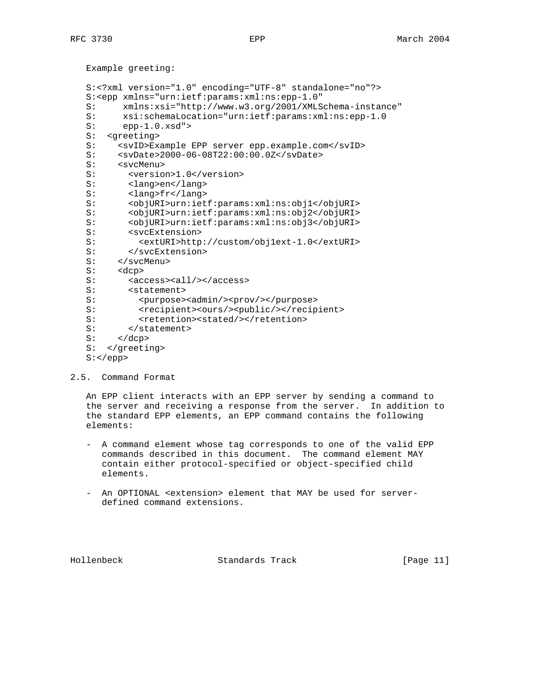Example greeting:

```
 S:<?xml version="1.0" encoding="UTF-8" standalone="no"?>
   S:<epp xmlns="urn:ietf:params:xml:ns:epp-1.0"
   S: xmlns:xsi="http://www.w3.org/2001/XMLSchema-instance"
  S: xsi:schemalocation="urn:ietf:params:xml:ns:epp-1.0<br>S: epp-1.0.xsd" >epp-1.0.xsd" S: <greeting>
  S: <svID>Example EPP server epp.example.com</svID>
   S: <svDate>2000-06-08T22:00:00.0Z</svDate>
   S: <svcMenu>
  S: < version>1.0</version>
   S: <lang>en</lang>
   S: <lang>fr</lang>
   S: <objURI>urn:ietf:params:xml:ns:obj1</objURI>
   S: <objURI>urn:ietf:params:xml:ns:obj2</objURI>
   S: <objURI>urn:ietf:params:xml:ns:obj3</objURI>
  S: <svcExtension><br>S: <extURI>http
            S: <extURI>http://custom/obj1ext-1.0</extURI>
 S: </svcExtension>
 S: </svcMenu>
   S: <dcp>
  S: <access><all/>>/2</access>
  S: <statement>
 S: <purpose><admin/><prov/></purpose>
 S: <recipient><ours/><public/></recipient>
   S: <retention><stated/></retention>
  S: </statement>
  S: </dcp>
   S: </greeting>
   S:</epp>
```
#### 2.5. Command Format

 An EPP client interacts with an EPP server by sending a command to the server and receiving a response from the server. In addition to the standard EPP elements, an EPP command contains the following elements:

- A command element whose tag corresponds to one of the valid EPP commands described in this document. The command element MAY contain either protocol-specified or object-specified child elements.
- An OPTIONAL <extension> element that MAY be used for server defined command extensions.

Hollenbeck Standards Track [Page 11]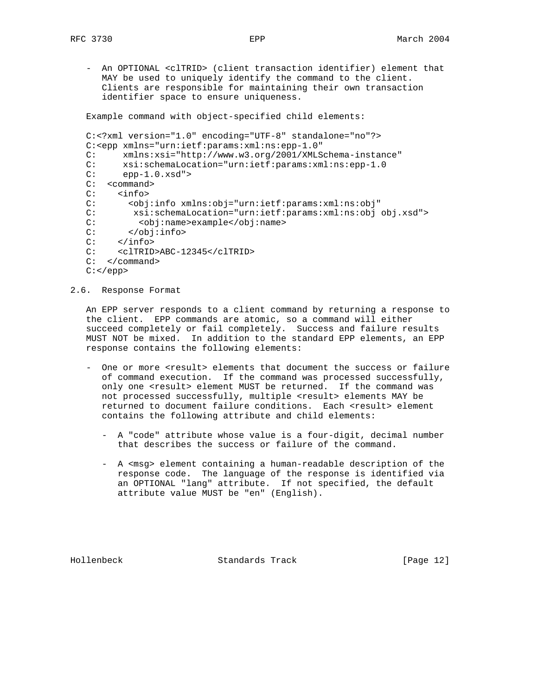- An OPTIONAL <clTRID> (client transaction identifier) element that MAY be used to uniquely identify the command to the client. Clients are responsible for maintaining their own transaction identifier space to ensure uniqueness.

Example command with object-specified child elements:

```
 C:<?xml version="1.0" encoding="UTF-8" standalone="no"?>
 C:<epp xmlns="urn:ietf:params:xml:ns:epp-1.0"
 C: xmlns:xsi="http://www.w3.org/2001/XMLSchema-instance"
 C: xsi:schemaLocation="urn:ietf:params:xml:ns:epp-1.0
C: epp-1.0.xsd"C: < command>
C: <info><br>C: <obi
       C: <obj:info xmlns:obj="urn:ietf:params:xml:ns:obj"
 C: xsi:schemaLocation="urn:ietf:params:xml:ns:obj obj.xsd">
C: <obj:name>example</obj:name>
 C: </obj:info>
C: </obj<br>C: </info>
 C: <clTRID>ABC-12345</clTRID>
 C: </command>
C: </epp>
```
2.6. Response Format

 An EPP server responds to a client command by returning a response to the client. EPP commands are atomic, so a command will either succeed completely or fail completely. Success and failure results MUST NOT be mixed. In addition to the standard EPP elements, an EPP response contains the following elements:

- One or more <result> elements that document the success or failure of command execution. If the command was processed successfully, only one <result> element MUST be returned. If the command was not processed successfully, multiple <result> elements MAY be returned to document failure conditions. Each <result> element contains the following attribute and child elements:
	- A "code" attribute whose value is a four-digit, decimal number that describes the success or failure of the command.
	- A <msg> element containing a human-readable description of the response code. The language of the response is identified via an OPTIONAL "lang" attribute. If not specified, the default attribute value MUST be "en" (English).

Hollenbeck Standards Track [Page 12]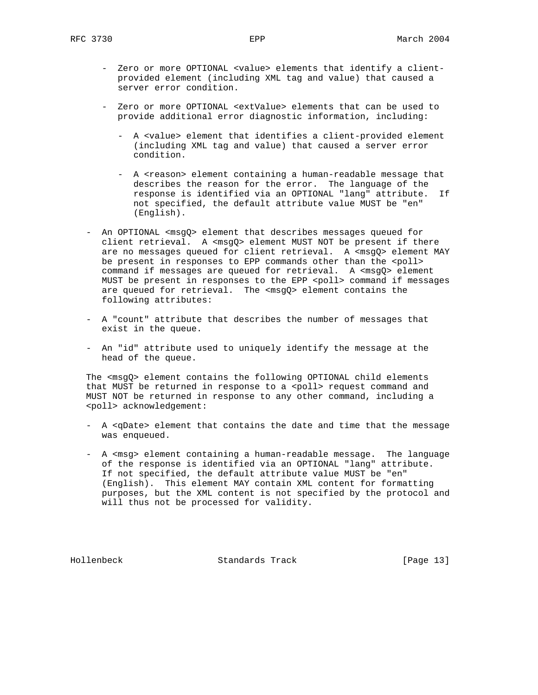- Zero or more OPTIONAL <value> elements that identify a client provided element (including XML tag and value) that caused a server error condition.
- Zero or more OPTIONAL <extValue> elements that can be used to provide additional error diagnostic information, including:
	- A <value> element that identifies a client-provided element (including XML tag and value) that caused a server error condition.
	- A <reason> element containing a human-readable message that describes the reason for the error. The language of the response is identified via an OPTIONAL "lang" attribute. If not specified, the default attribute value MUST be "en" (English).
- An OPTIONAL <msgQ> element that describes messages queued for client retrieval. A <msgQ> element MUST NOT be present if there are no messages queued for client retrieval. A <msgQ> element MAY be present in responses to EPP commands other than the <poll> command if messages are queued for retrieval. A <msgQ> element MUST be present in responses to the EPP <poll> command if messages are queued for retrieval. The <msgQ> element contains the following attributes:
- A "count" attribute that describes the number of messages that exist in the queue.
- An "id" attribute used to uniquely identify the message at the head of the queue.

 The <msgQ> element contains the following OPTIONAL child elements that MUST be returned in response to a <poll> request command and MUST NOT be returned in response to any other command, including a <poll> acknowledgement:

- A <qDate> element that contains the date and time that the message was enqueued.
- A <msg> element containing a human-readable message. The language of the response is identified via an OPTIONAL "lang" attribute. If not specified, the default attribute value MUST be "en" (English). This element MAY contain XML content for formatting purposes, but the XML content is not specified by the protocol and will thus not be processed for validity.

Hollenbeck Standards Track [Page 13]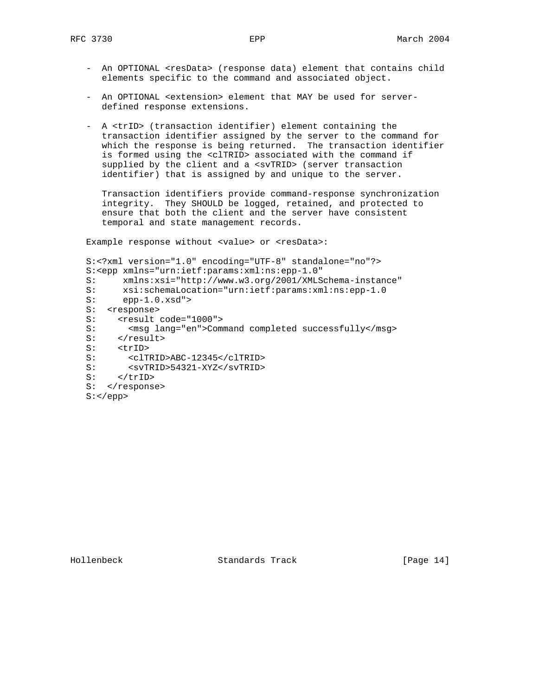- An OPTIONAL <resData> (response data) element that contains child elements specific to the command and associated object.
- An OPTIONAL <extension> element that MAY be used for server defined response extensions.
- A <trID> (transaction identifier) element containing the transaction identifier assigned by the server to the command for which the response is being returned. The transaction identifier is formed using the <clTRID> associated with the command if supplied by the client and a <svTRID> (server transaction identifier) that is assigned by and unique to the server.

 Transaction identifiers provide command-response synchronization integrity. They SHOULD be logged, retained, and protected to ensure that both the client and the server have consistent temporal and state management records.

Example response without <value> or <resData>:

```
 S:<?xml version="1.0" encoding="UTF-8" standalone="no"?>
 S:<epp xmlns="urn:ietf:params:xml:ns:epp-1.0"
 S: xmlns:xsi="http://www.w3.org/2001/XMLSchema-instance"
S: xsi:schemaLocation="urn:ietf:params:xml:ns:epp-1.0<br>S: epp-1.0.xsd">
      epp-1.0.xsd"S: <response>
S: <result code="1000">
S: <msg lang="en">Command completed successfully</msg>
S: </result>
S: <trID><br>S: <clT
       S: <clTRID>ABC-12345</clTRID>
 S: <svTRID>54321-XYZ</svTRID>
S: \qquad \texttt{</trID>}S: </response>
 S:</epp>
```
Hollenbeck Standards Track [Page 14]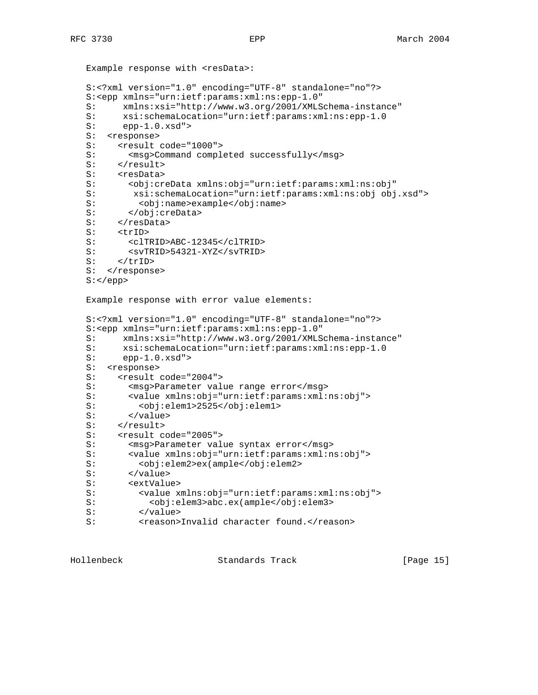```
Example response with <resData>:
 S:<?xml version="1.0" encoding="UTF-8" standalone="no"?>
 S:<epp xmlns="urn:ietf:params:xml:ns:epp-1.0"
 S: xmlns:xsi="http://www.w3.org/2001/XMLSchema-instance"
S: xsi:schemalocation="urn:ietf:params:xml:ns:epp-1.0<br>S: epp-1.0.xsd" >epp-1.0.xsd" S: <response>
S: <result code="1000">
S: <msg>Command completed successfully</msg>
S: </result>
S: <resData>
 S: <obj:creData xmlns:obj="urn:ietf:params:xml:ns:obj"
 S: xsi:schemaLocation="urn:ietf:params:xml:ns:obj obj.xsd">
 S: <obj:name>example</obj:name>
 S: </obj:creData>
S: </resData>
S: <trID>
 S: <clTRID>ABC-12345</clTRID>
 S: <svTRID>54321-XYZ</svTRID>
S: </trID>
S: </response>
 S:</epp>
 Example response with error value elements:
 S:<?xml version="1.0" encoding="UTF-8" standalone="no"?>
 S:<epp xmlns="urn:ietf:params:xml:ns:epp-1.0"
 S: xmlns:xsi="http://www.w3.org/2001/XMLSchema-instance"
S: xsi:schemalocation="urn:ietf:params:xml:ns:epp-1.0<br>S: epp-1.0.xsd" >epp-1.0.xsd" S: <response>
S: <result code="2004"><br>S: <msq>Parameter val
       <msg>Parameter value range error</msg>
 S: <value xmlns:obj="urn:ietf:params:xml:ns:obj">
 S: <obj:elem1>2525</obj:elem1>
S: </value>
S: </result>
S: <result code="2005">
S: <msg>Parameter value syntax error</msg>
 S: <value xmlns:obj="urn:ietf:params:xml:ns:obj">
 S: <obj:elem2>ex(ample</obj:elem2>
S: </value>
 S: <extValue>
 S: <value xmlns:obj="urn:ietf:params:xml:ns:obj">
 S: <obj:elem3>abc.ex(ample</obj:elem3>
S: </value>
 S: <reason>Invalid character found.</reason>
```
Hollenbeck Standards Track [Page 15]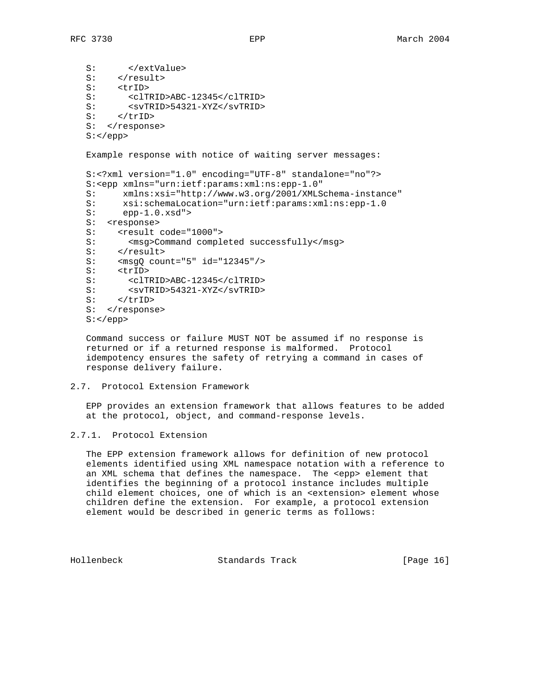S: </extValue>  $S:$  </result> S: <trID> S: <clTRID>ABC-12345</clTRID> S: <svTRID>54321-XYZ</svTRID>  $S:$  </triD> S: </response>  $S:$  Example response with notice of waiting server messages: S:<?xml version="1.0" encoding="UTF-8" standalone="no"?> S:<epp xmlns="urn:ietf:params:xml:ns:epp-1.0" S: xmlns:xsi="http://www.w3.org/2001/XMLSchema-instance" S: xsi:schemaLocation="urn:ietf:params:xml:ns:epp-1.0 S: epp-1.0.xsd"> S: <response> S: <result code="1000"><br>S: <msg>Command comple S: <msg>Command completed successfully</msg> S: </result> S: <msgQ count="5" id="12345"/> S: <trID> S: <clTRID>ABC-12345</clTRID> S: <svTRID>54321-XYZ</svTRID> S: </trID> S: </response> S:</epp>

 Command success or failure MUST NOT be assumed if no response is returned or if a returned response is malformed. Protocol idempotency ensures the safety of retrying a command in cases of response delivery failure.

## 2.7. Protocol Extension Framework

 EPP provides an extension framework that allows features to be added at the protocol, object, and command-response levels.

# 2.7.1. Protocol Extension

 The EPP extension framework allows for definition of new protocol elements identified using XML namespace notation with a reference to an XML schema that defines the namespace. The <epp> element that identifies the beginning of a protocol instance includes multiple child element choices, one of which is an <extension> element whose children define the extension. For example, a protocol extension element would be described in generic terms as follows:

Hollenbeck Standards Track [Page 16]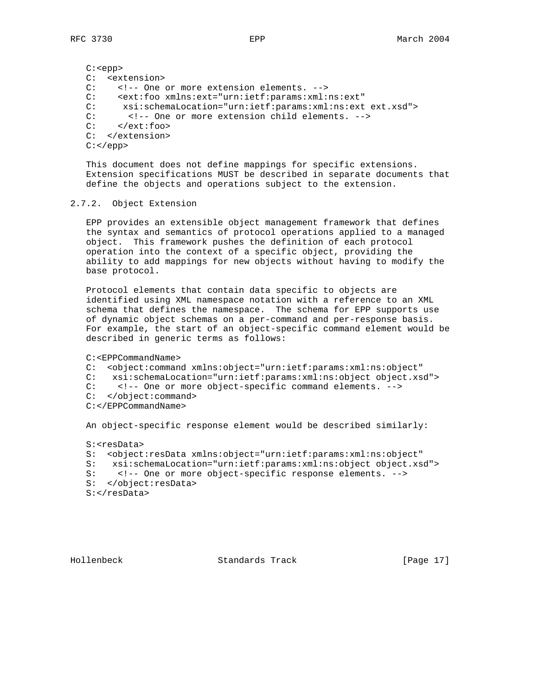C:<epp> C: <extension> C: <!-- One or more extension elements. --> C: <ext:foo xmlns:ext="urn:ietf:params:xml:ns:ext" C: xsi:schemaLocation="urn:ietf:params:xml:ns:ext ext.xsd"> C: <!-- One or more extension child elements. --> C: </ext:foo> </ext:foo> C: </extension>  $C:$  </epp>

 This document does not define mappings for specific extensions. Extension specifications MUST be described in separate documents that define the objects and operations subject to the extension.

#### 2.7.2. Object Extension

 EPP provides an extensible object management framework that defines the syntax and semantics of protocol operations applied to a managed object. This framework pushes the definition of each protocol operation into the context of a specific object, providing the ability to add mappings for new objects without having to modify the base protocol.

 Protocol elements that contain data specific to objects are identified using XML namespace notation with a reference to an XML schema that defines the namespace. The schema for EPP supports use of dynamic object schemas on a per-command and per-response basis. For example, the start of an object-specific command element would be described in generic terms as follows:

C:<EPPCommandName>

 C: <object:command xmlns:object="urn:ietf:params:xml:ns:object" C: xsi:schemaLocation="urn:ietf:params:xml:ns:object object.xsd"> C: <!-- One or more object-specific command elements. --> C: </object:command> C:</EPPCommandName> An object-specific response element would be described similarly:

 S:<resData> S: <object:resData xmlns:object="urn:ietf:params:xml:ns:object" S: xsi:schemaLocation="urn:ietf:params:xml:ns:object object.xsd"><br>S: <!-- One or more object-specific response elements. --> S: <!-- One or more object-specific response elements. --> S: </object:resData>

S:</resData>

Hollenbeck Standards Track [Page 17]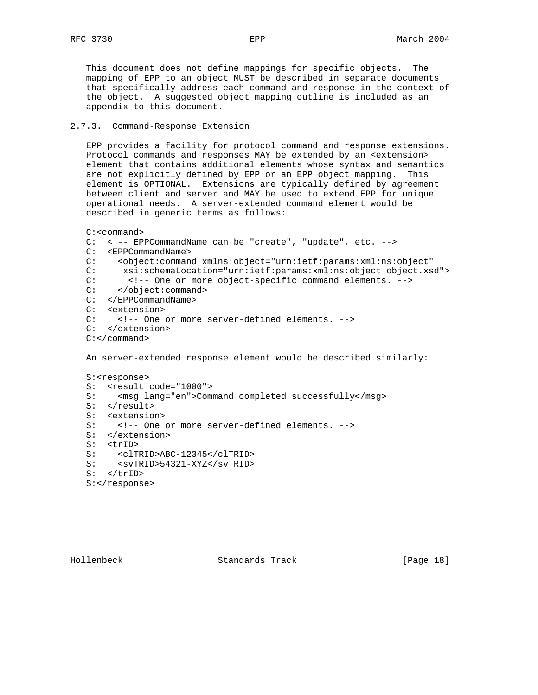This document does not define mappings for specific objects. The mapping of EPP to an object MUST be described in separate documents that specifically address each command and response in the context of the object. A suggested object mapping outline is included as an appendix to this document.

# 2.7.3. Command-Response Extension

 EPP provides a facility for protocol command and response extensions. Protocol commands and responses MAY be extended by an <extension> element that contains additional elements whose syntax and semantics are not explicitly defined by EPP or an EPP object mapping. This element is OPTIONAL. Extensions are typically defined by agreement between client and server and MAY be used to extend EPP for unique operational needs. A server-extended command element would be described in generic terms as follows:

```
 C:<command>
```

```
 C: <!-- EPPCommandName can be "create", "update", etc. -->
   C: <EPPCommandName>
   C: <object:command xmlns:object="urn:ietf:params:xml:ns:object"
   C: xsi:schemaLocation="urn:ietf:params:xml:ns:object object.xsd">
   C: <!-- One or more object-specific command elements. -->
  C: </object:command>
   C: </EPPCommandName>
   C: <extension>
   C: <!-- One or more server-defined elements. -->
   C: </extension>
   C:</command>
   An server-extended response element would be described similarly:
   S:<response>
   S: <result code="1000">
  S: <msg lang="en">Command completed successfully</msg>
  S: </result>
   S: <extension>
   S: <!-- One or more server-defined elements. -->
   S: </extension>
   S: <trID>
 S: <clTRID>ABC-12345</clTRID>
 S: <svTRID>54321-XYZ</svTRID>
  S: </trID>
```
S:</response>

Hollenbeck Standards Track [Page 18]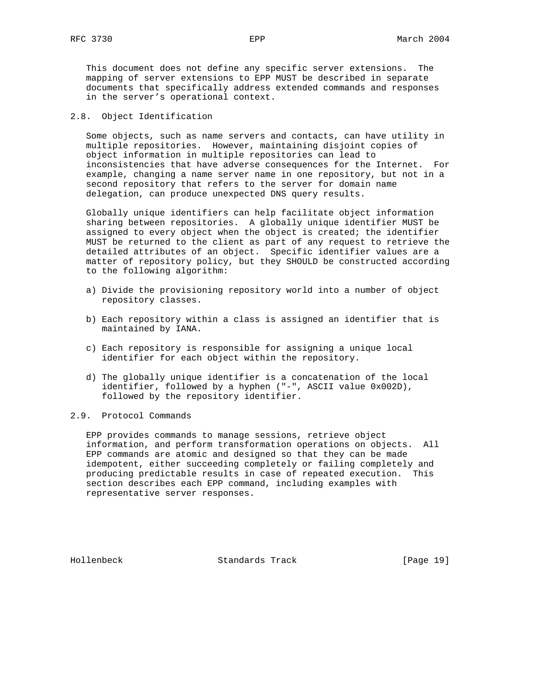This document does not define any specific server extensions. The mapping of server extensions to EPP MUST be described in separate documents that specifically address extended commands and responses in the server's operational context.

## 2.8. Object Identification

 Some objects, such as name servers and contacts, can have utility in multiple repositories. However, maintaining disjoint copies of object information in multiple repositories can lead to inconsistencies that have adverse consequences for the Internet. For example, changing a name server name in one repository, but not in a second repository that refers to the server for domain name delegation, can produce unexpected DNS query results.

 Globally unique identifiers can help facilitate object information sharing between repositories. A globally unique identifier MUST be assigned to every object when the object is created; the identifier MUST be returned to the client as part of any request to retrieve the detailed attributes of an object. Specific identifier values are a matter of repository policy, but they SHOULD be constructed according to the following algorithm:

- a) Divide the provisioning repository world into a number of object repository classes.
- b) Each repository within a class is assigned an identifier that is maintained by IANA.
- c) Each repository is responsible for assigning a unique local identifier for each object within the repository.
- d) The globally unique identifier is a concatenation of the local identifier, followed by a hyphen ("-", ASCII value 0x002D), followed by the repository identifier.

# 2.9. Protocol Commands

 EPP provides commands to manage sessions, retrieve object information, and perform transformation operations on objects. All EPP commands are atomic and designed so that they can be made idempotent, either succeeding completely or failing completely and producing predictable results in case of repeated execution. This section describes each EPP command, including examples with representative server responses.

Hollenbeck Standards Track [Page 19]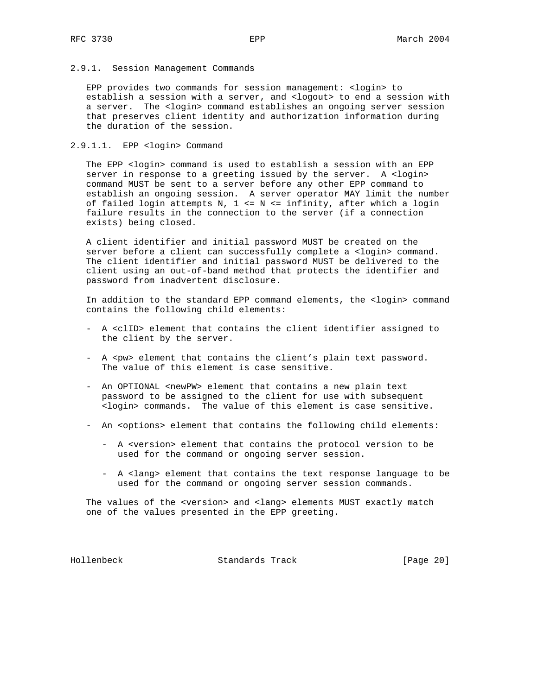#### 2.9.1. Session Management Commands

 EPP provides two commands for session management: <login> to establish a session with a server, and <logout> to end a session with a server. The <login> command establishes an ongoing server session that preserves client identity and authorization information during the duration of the session.

#### 2.9.1.1. EPP <login> Command

The EPP <login> command is used to establish a session with an EPP server in response to a greeting issued by the server. A <login> command MUST be sent to a server before any other EPP command to establish an ongoing session. A server operator MAY limit the number of failed login attempts N, 1 <= N <= infinity, after which a login failure results in the connection to the server (if a connection exists) being closed.

 A client identifier and initial password MUST be created on the server before a client can successfully complete a <login> command. The client identifier and initial password MUST be delivered to the client using an out-of-band method that protects the identifier and password from inadvertent disclosure.

 In addition to the standard EPP command elements, the <login> command contains the following child elements:

- A <clID> element that contains the client identifier assigned to the client by the server.
- A <pw> element that contains the client's plain text password. The value of this element is case sensitive.
- An OPTIONAL <newPW> element that contains a new plain text password to be assigned to the client for use with subsequent <login> commands. The value of this element is case sensitive.
- An <options> element that contains the following child elements:
	- A <version> element that contains the protocol version to be used for the command or ongoing server session.
	- A <lang> element that contains the text response language to be used for the command or ongoing server session commands.

The values of the <version> and <lang> elements MUST exactly match one of the values presented in the EPP greeting.

Hollenbeck Standards Track [Page 20]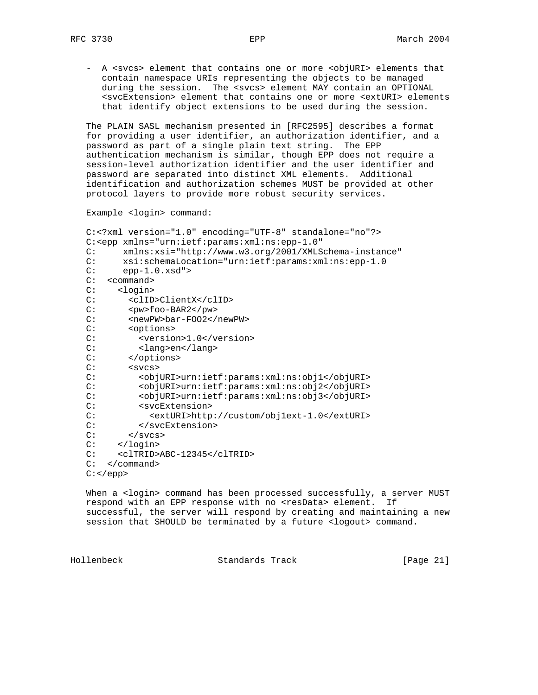- A <svcs> element that contains one or more <objURI> elements that contain namespace URIs representing the objects to be managed during the session. The <svcs> element MAY contain an OPTIONAL <svcExtension> element that contains one or more <extURI> elements that identify object extensions to be used during the session.

 The PLAIN SASL mechanism presented in [RFC2595] describes a format for providing a user identifier, an authorization identifier, and a password as part of a single plain text string. The EPP authentication mechanism is similar, though EPP does not require a session-level authorization identifier and the user identifier and password are separated into distinct XML elements. Additional identification and authorization schemes MUST be provided at other protocol layers to provide more robust security services.

Example <login> command:

```
 C:<?xml version="1.0" encoding="UTF-8" standalone="no"?>
   C:<epp xmlns="urn:ietf:params:xml:ns:epp-1.0"
   C: xmlns:xsi="http://www.w3.org/2001/XMLSchema-instance"
   C: xsi:schemaLocation="urn:ietf:params:xml:ns:epp-1.0
  C: epp-1.0.xsd" C: <command>
  C: <login><br>C: <clID
          C: <clID>ClientX</clID>
 C: <pw>foo-BAR2</pw>
C: <newPW>bar-F002</newPW>
   C: <options>
   C: <version>1.0</version>
  C: <lang>en</lang><br>C: </options>
         </options>
  C: <svcs>
   C: <objURI>urn:ietf:params:xml:ns:obj1</objURI>
   C: <objURI>urn:ietf:params:xml:ns:obj2</objURI>
   C: <objURI>urn:ietf:params:xml:ns:obj3</objURI>
  C: <svcExtension><br>C: <sxtURI>http
               C: <extURI>http://custom/obj1ext-1.0</extURI>
   C: </svcExtension>
  C: </svcs>
   C: </login>
   C: <clTRID>ABC-12345</clTRID>
   C: </command>
  C: </epp>
```
When a <login> command has been processed successfully, a server MUST respond with an EPP response with no <resData> element. If successful, the server will respond by creating and maintaining a new session that SHOULD be terminated by a future <logout> command.

Hollenbeck Standards Track [Page 21]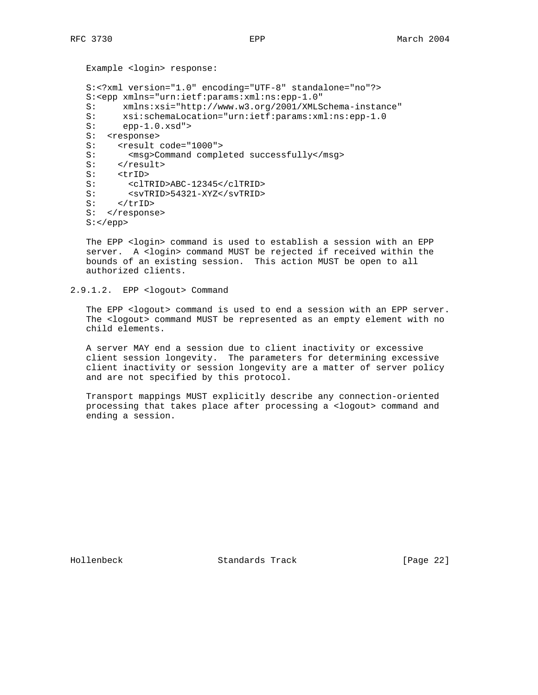```
 Example <login> response:
 S:<?xml version="1.0" encoding="UTF-8" standalone="no"?>
 S:<epp xmlns="urn:ietf:params:xml:ns:epp-1.0"
 S: xmlns:xsi="http://www.w3.org/2001/XMLSchema-instance"
S: xsi:schemaLocation="urn:ietf:params:xml:ns:epp-1.0<br>S: epp-1.0.xsd">
     epp-1.0.xsd">
 S: <response>
S: <result code="1000">
S: <msg>Command completed successfully</msg>
S: </result>
S: <trID>
S: <clTRID>ABC-12345</clTRID>
 S: <svTRID>54321-XYZ</svTRID>
S: </trip>
S: </response>
 S:</epp>
```
 The EPP <login> command is used to establish a session with an EPP server. A <login> command MUST be rejected if received within the bounds of an existing session. This action MUST be open to all authorized clients.

```
2.9.1.2. EPP <logout> Command
```
The EPP <logout> command is used to end a session with an EPP server. The <logout> command MUST be represented as an empty element with no child elements.

 A server MAY end a session due to client inactivity or excessive client session longevity. The parameters for determining excessive client inactivity or session longevity are a matter of server policy and are not specified by this protocol.

 Transport mappings MUST explicitly describe any connection-oriented processing that takes place after processing a <logout> command and ending a session.

Hollenbeck Standards Track [Page 22]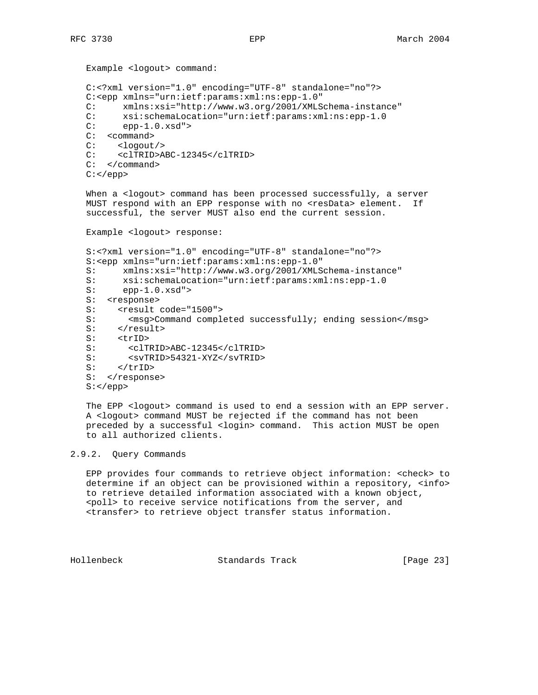```
 Example <logout> command:
 C:<?xml version="1.0" encoding="UTF-8" standalone="no"?>
 C:<epp xmlns="urn:ietf:params:xml:ns:epp-1.0"
 C: xmlns:xsi="http://www.w3.org/2001/XMLSchema-instance"
C: xsi:schemaLocation="urn:ietf:params:xml:ns:epp-1.0<br>C: epp-1.0.xsd">
       epp-1.0.xsd" C: <command>
 C: <logout/>
 C: <clTRID>ABC-12345</clTRID>
 C: </command>
C: </epp>
```
When a <logout> command has been processed successfully, a server MUST respond with an EPP response with no <resData> element. If successful, the server MUST also end the current session.

Example <logout> response:

```
 S:<?xml version="1.0" encoding="UTF-8" standalone="no"?>
 S:<epp xmlns="urn:ietf:params:xml:ns:epp-1.0"
 S: xmlns:xsi="http://www.w3.org/2001/XMLSchema-instance"
 S: xsi:schemaLocation="urn:ietf:params:xml:ns:epp-1.0
 S: epp-1.0.xsd">
S: <response>
S: <result code="1500">
S: <msg>Command completed successfully; ending session</msg>
S: </result>
 S: <trID>
 S: <clTRID>ABC-12345</clTRID>
 S: <svTRID>54321-XYZ</svTRID>
S: </trID>
S: </response>
 S:</epp>
```
The EPP <logout> command is used to end a session with an EPP server. A <logout> command MUST be rejected if the command has not been preceded by a successful <login> command. This action MUST be open to all authorized clients.

## 2.9.2. Query Commands

 EPP provides four commands to retrieve object information: <check> to determine if an object can be provisioned within a repository, <info> to retrieve detailed information associated with a known object, <poll> to receive service notifications from the server, and <transfer> to retrieve object transfer status information.

Hollenbeck Standards Track [Page 23]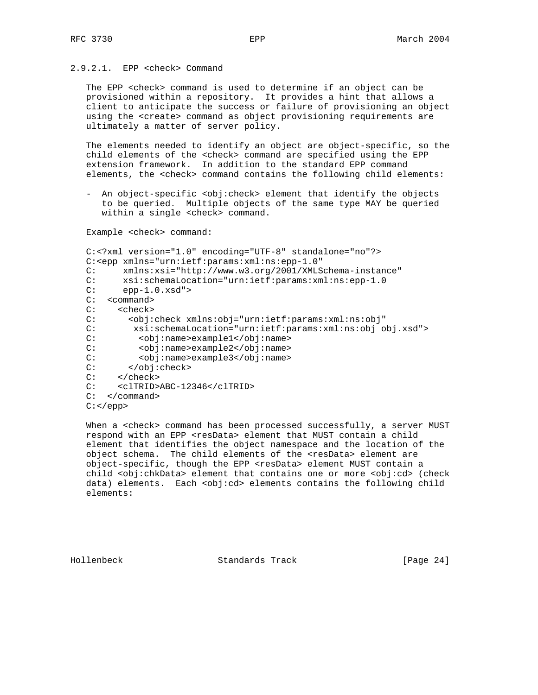# 2.9.2.1. EPP <check> Command

 The EPP <check> command is used to determine if an object can be provisioned within a repository. It provides a hint that allows a client to anticipate the success or failure of provisioning an object using the <create> command as object provisioning requirements are ultimately a matter of server policy.

 The elements needed to identify an object are object-specific, so the child elements of the <check> command are specified using the EPP extension framework. In addition to the standard EPP command elements, the <check> command contains the following child elements:

 - An object-specific <obj:check> element that identify the objects to be queried. Multiple objects of the same type MAY be queried within a single <check> command.

Example <check> command:

```
 C:<?xml version="1.0" encoding="UTF-8" standalone="no"?>
 C:<epp xmlns="urn:ietf:params:xml:ns:epp-1.0"
 C: xmlns:xsi="http://www.w3.org/2001/XMLSchema-instance"
 C: xsi:schemaLocation="urn:ietf:params:xml:ns:epp-1.0
C: epp-1.0.xsd" C: <command>
 C: <check>
 C: <obj:check xmlns:obj="urn:ietf:params:xml:ns:obj"
 C: xsi:schemaLocation="urn:ietf:params:xml:ns:obj obj.xsd">
 C: <obj:name>example1</obj:name>
 C: <obj:name>example2</obj:name>
         C: <obj:name>example3</obj:name>
 C: </obj:check>
 C: </check>
 C: <clTRID>ABC-12346</clTRID>
 C: </command>
C: </epp>
```
When a <check> command has been processed successfully, a server MUST respond with an EPP <resData> element that MUST contain a child element that identifies the object namespace and the location of the object schema. The child elements of the <resData> element are object-specific, though the EPP <resData> element MUST contain a child <obj:chkData> element that contains one or more <obj:cd> (check data) elements. Each <obj:cd> elements contains the following child elements:

Hollenbeck Standards Track [Page 24]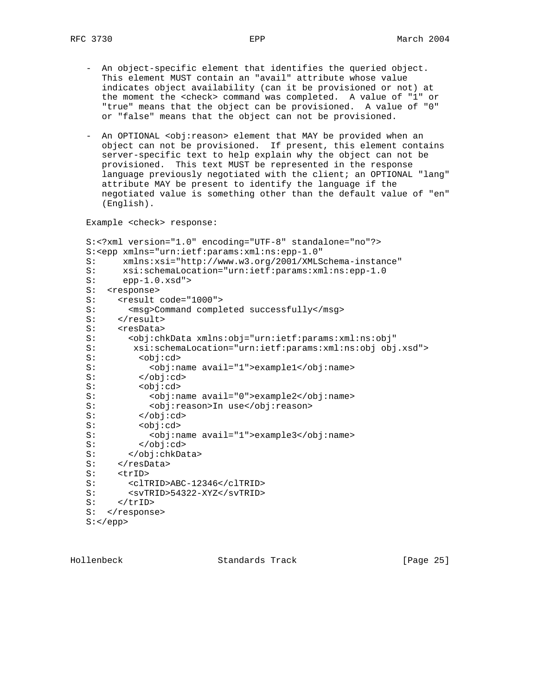- An object-specific element that identifies the queried object. This element MUST contain an "avail" attribute whose value indicates object availability (can it be provisioned or not) at the moment the <check> command was completed. A value of "1" or "true" means that the object can be provisioned. A value of "0" or "false" means that the object can not be provisioned.
- An OPTIONAL <obj:reason> element that MAY be provided when an object can not be provisioned. If present, this element contains server-specific text to help explain why the object can not be provisioned. This text MUST be represented in the response language previously negotiated with the client; an OPTIONAL "lang" attribute MAY be present to identify the language if the negotiated value is something other than the default value of "en" (English).

Example <check> response:

```
 S:<?xml version="1.0" encoding="UTF-8" standalone="no"?>
 S:<epp xmlns="urn:ietf:params:xml:ns:epp-1.0"
 S: xmlns:xsi="http://www.w3.org/2001/XMLSchema-instance"
 S: xsi:schemaLocation="urn:ietf:params:xml:ns:epp-1.0
 S: epp-1.0.xsd">
S: <response>
S: <result code="1000">
 S: <msg>Command completed successfully</msg>
S: </result>
S: <resData>
 S: <obj:chkData xmlns:obj="urn:ietf:params:xml:ns:obj"
 S: xsi:schemaLocation="urn:ietf:params:xml:ns:obj obj.xsd">
         S: <obj:cd>
 S: <obj:name avail="1">example1</obj:name>
S: </obj:cd><br>S: </obj:cd>
        S: <obj:cd>
 S: <obj:name avail="0">example2</obj:name>
S: <obj:reason>In use</obj:reason>
 S: </obj:cd>
 S: <obj:cd>
 S: <obj:name avail="1">example3</obj:name>
S: </obj:cd>
 S: </obj:chkData>
S: </resData>
S: <trID>
 S: <clTRID>ABC-12346</clTRID>
S: <svTRID>54322-XYZ</svTRID>
S: </trID>
S: </response>
 S:</epp>
```
Hollenbeck Standards Track [Page 25]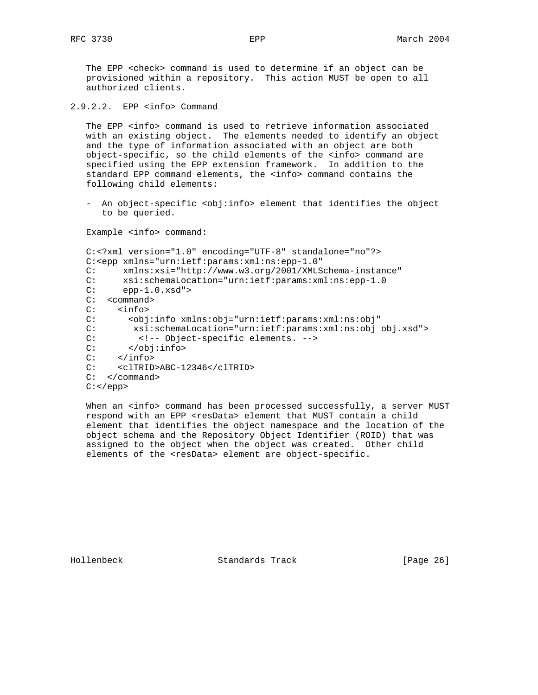The EPP <check> command is used to determine if an object can be provisioned within a repository. This action MUST be open to all authorized clients.

2.9.2.2. EPP <info> Command

The EPP <info> command is used to retrieve information associated with an existing object. The elements needed to identify an object and the type of information associated with an object are both object-specific, so the child elements of the <info> command are specified using the EPP extension framework. In addition to the standard EPP command elements, the <info> command contains the following child elements:

- An object-specific <obj:info> element that identifies the object to be queried.

Example <info> command:

```
 C:<?xml version="1.0" encoding="UTF-8" standalone="no"?>
 C:<epp xmlns="urn:ietf:params:xml:ns:epp-1.0"
 C: xmlns:xsi="http://www.w3.org/2001/XMLSchema-instance"
 C: xsi:schemaLocation="urn:ietf:params:xml:ns:epp-1.0
C: epp-1.0.xsd" C: <command>
 C: <info>
 C: <obj:info xmlns:obj="urn:ietf:params:xml:ns:obj"
 C: xsi:schemaLocation="urn:ietf:params:xml:ns:obj obj.xsd">
 C: <!-- Object-specific elements. -->
C: </obj:info><br>C: </info>
    \langleinfo> C: <clTRID>ABC-12346</clTRID>
 C: </command>
 C:</epp>
```
When an <info> command has been processed successfully, a server MUST respond with an EPP <resData> element that MUST contain a child element that identifies the object namespace and the location of the object schema and the Repository Object Identifier (ROID) that was assigned to the object when the object was created. Other child elements of the <resData> element are object-specific.

Hollenbeck Standards Track [Page 26]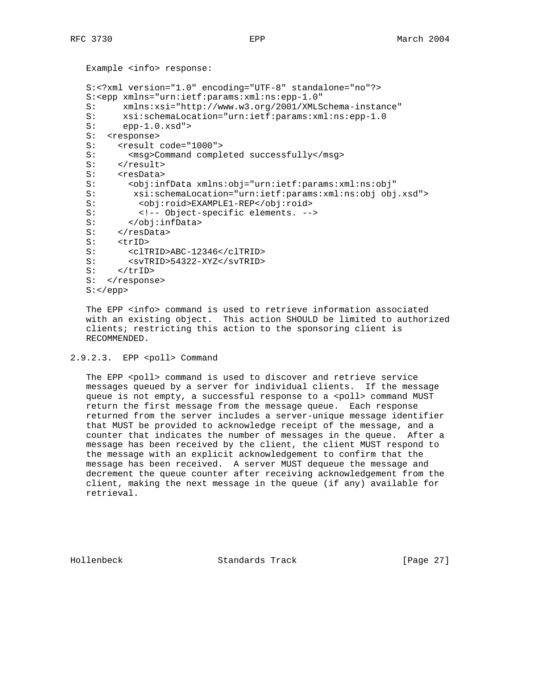```
 Example <info> response:
 S:<?xml version="1.0" encoding="UTF-8" standalone="no"?>
 S:<epp xmlns="urn:ietf:params:xml:ns:epp-1.0"
 S: xmlns:xsi="http://www.w3.org/2001/XMLSchema-instance"
S: xsi:schemalocation="urn:ietf:params:xml:ns:epp-1.0<br>S: epp-1.0.xsd" >epp-1.0.xsd">
 S: <response>
S: <result code="1000">
S: <msg>Command completed successfully</msg>
S: </result>
S: <resData><br>S: <br/> <obi:in
        S: <obj:infData xmlns:obj="urn:ietf:params:xml:ns:obj"
 S: xsi:schemaLocation="urn:ietf:params:xml:ns:obj obj.xsd">
S: <obj:roid>EXAMPLE1-REP</obj:roid>
 S: <!-- Object-specific elements. -->
 S: </obj:infData>
S: </resData>
S: <trID>
 S: <clTRID>ABC-12346</clTRID>
S: <svTRID>54322-XYZ</svTRID>
S: </trID>
S: </response>
S: </epp>
```
 The EPP <info> command is used to retrieve information associated with an existing object. This action SHOULD be limited to authorized clients; restricting this action to the sponsoring client is RECOMMENDED.

#### 2.9.2.3. EPP <poll> Command

The EPP <poll> command is used to discover and retrieve service messages queued by a server for individual clients. If the message queue is not empty, a successful response to a <poll> command MUST return the first message from the message queue. Each response returned from the server includes a server-unique message identifier that MUST be provided to acknowledge receipt of the message, and a counter that indicates the number of messages in the queue. After a message has been received by the client, the client MUST respond to the message with an explicit acknowledgement to confirm that the message has been received. A server MUST dequeue the message and decrement the queue counter after receiving acknowledgement from the client, making the next message in the queue (if any) available for retrieval.

Hollenbeck Standards Track [Page 27]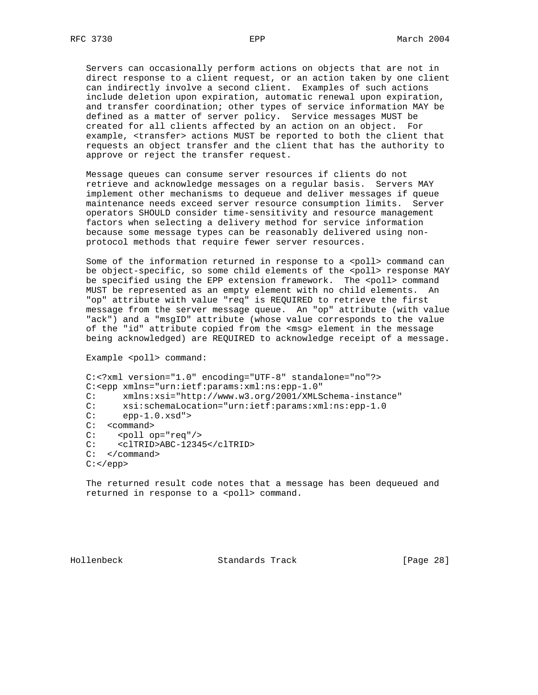Servers can occasionally perform actions on objects that are not in direct response to a client request, or an action taken by one client can indirectly involve a second client. Examples of such actions include deletion upon expiration, automatic renewal upon expiration, and transfer coordination; other types of service information MAY be defined as a matter of server policy. Service messages MUST be created for all clients affected by an action on an object. For example, <transfer> actions MUST be reported to both the client that requests an object transfer and the client that has the authority to approve or reject the transfer request.

 Message queues can consume server resources if clients do not retrieve and acknowledge messages on a regular basis. Servers MAY implement other mechanisms to dequeue and deliver messages if queue maintenance needs exceed server resource consumption limits. Server operators SHOULD consider time-sensitivity and resource management factors when selecting a delivery method for service information because some message types can be reasonably delivered using non protocol methods that require fewer server resources.

Some of the information returned in response to a <poll> command can be object-specific, so some child elements of the <poll> response MAY be specified using the EPP extension framework. The <poll> command MUST be represented as an empty element with no child elements. An "op" attribute with value "req" is REQUIRED to retrieve the first message from the server message queue. An "op" attribute (with value "ack") and a "msgID" attribute (whose value corresponds to the value of the "id" attribute copied from the <msg> element in the message being acknowledged) are REQUIRED to acknowledge receipt of a message.

```
Example <poll> command:
```

```
 C:<?xml version="1.0" encoding="UTF-8" standalone="no"?>
   C:<epp xmlns="urn:ietf:params:xml:ns:epp-1.0"
   C: xmlns:xsi="http://www.w3.org/2001/XMLSchema-instance"
  C: xsi:schemaLocation="urn:ietf:params:xml:ns:epp-1.0<br>C: epp-1.0.xsd">
        epp-1.0.xsd">
  C: < command>
C: <poll op="req"/>
 C: <clTRID>ABC-12345</clTRID>
   C: </command>
  C: </epp>
```
 The returned result code notes that a message has been dequeued and returned in response to a <poll> command.

Hollenbeck Standards Track [Page 28]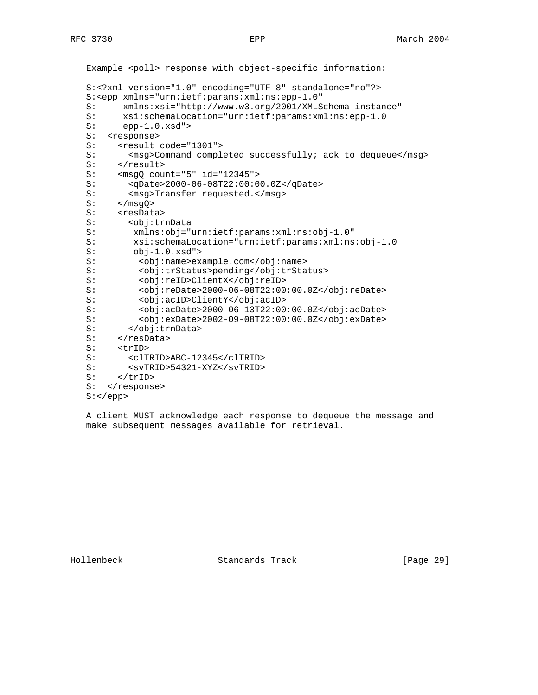```
Example <poll> response with object-specific information:
 S:<?xml version="1.0" encoding="UTF-8" standalone="no"?>
 S:<epp xmlns="urn:ietf:params:xml:ns:epp-1.0"
 S: xmlns:xsi="http://www.w3.org/2001/XMLSchema-instance"
S: xsi:schemalocation="urn:ietf:params:xml:ns:epp-1.0<br>S: epp-1.0.xsd" >epp-1.0.xsd" S: <response>
S: <result code="1301">
S: <msg>Command completed successfully; ack to dequeue</msg>
S: </result>
S: <msgQ count="5" id="12345"><br>S: <qDate>2000-06-08T22:00:00
        S: <qDate>2000-06-08T22:00:00.0Z</qDate>
S: <msg>Transfer requested.</msg>
S: </msgQ>
S: <resData>
 S: <obj:trnData
 S: xmlns:obj="urn:ietf:params:xml:ns:obj-1.0"
       xsi:schemaLocation="urn:ietf:params:xml:ns:obj-1.0
 S: obj-1.0.xsd">
S: <obj:name>example.com</obj:name>
 S: <obj:trStatus>pending</obj:trStatus>
 S: <obj:reID>ClientX</obj:reID>
 S: <obj:reDate>2000-06-08T22:00:00.0Z</obj:reDate>
 S: <obj:acID>ClientY</obj:acID>
 S: <obj:acDate>2000-06-13T22:00:00.0Z</obj:acDate>
 S: <obj:exDate>2002-09-08T22:00:00.0Z</obj:exDate>
 S: </obj:trnData>
S: </resData>
S: <trID>
 S: <clTRID>ABC-12345</clTRID>
 S: <svTRID>54321-XYZ</svTRID>
S: </trID>
S: </response>
 S:</epp>
```
 A client MUST acknowledge each response to dequeue the message and make subsequent messages available for retrieval.

Hollenbeck Standards Track [Page 29]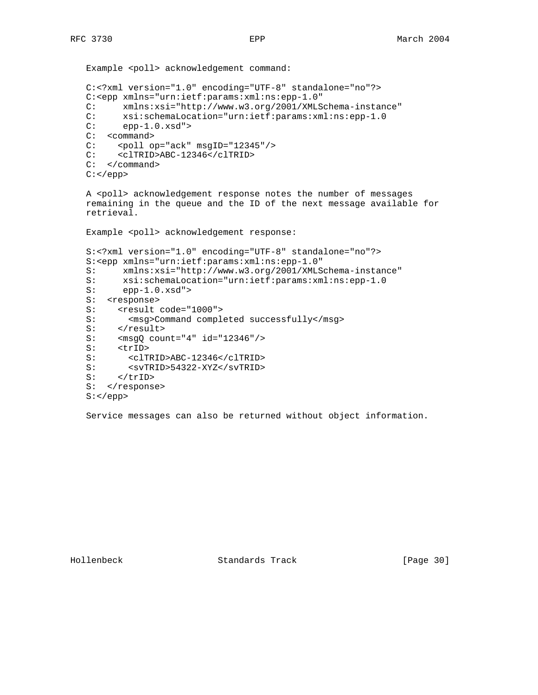```
Example <poll> acknowledgement command:
 C:<?xml version="1.0" encoding="UTF-8" standalone="no"?>
 C:<epp xmlns="urn:ietf:params:xml:ns:epp-1.0"
 C: xmlns:xsi="http://www.w3.org/2001/XMLSchema-instance"
C: xsi:schemaLocation="urn:ietf:params:xml:ns:epp-1.0<br>C: epp-1.0.xsd">
      epp-1.0.xsd" C: <command>
 C: <poll op="ack" msgID="12345"/>
 C: <clTRID>ABC-12346</clTRID>
 C: </command>
C: </epp>
 A <poll> acknowledgement response notes the number of messages
 remaining in the queue and the ID of the next message available for
 retrieval.
Example <poll> acknowledgement response:
 S:<?xml version="1.0" encoding="UTF-8" standalone="no"?>
 S:<epp xmlns="urn:ietf:params:xml:ns:epp-1.0"
 S: xmlns:xsi="http://www.w3.org/2001/XMLSchema-instance"
 S: xsi:schemaLocation="urn:ietf:params:xml:ns:epp-1.0
 S: epp-1.0.xsd">
S: <response>
S: <result code="1000">
S: <msg>Command completed successfully</msg>
S: </result>
 S: <msgQ count="4" id="12346"/>
S: <trID><br>S: <clTl
       S: <clTRID>ABC-12346</clTRID>
 S: <svTRID>54322-XYZ</svTRID>
S: </trID>
S: </response>
```
#### S:</epp>

Service messages can also be returned without object information.

Hollenbeck Standards Track [Page 30]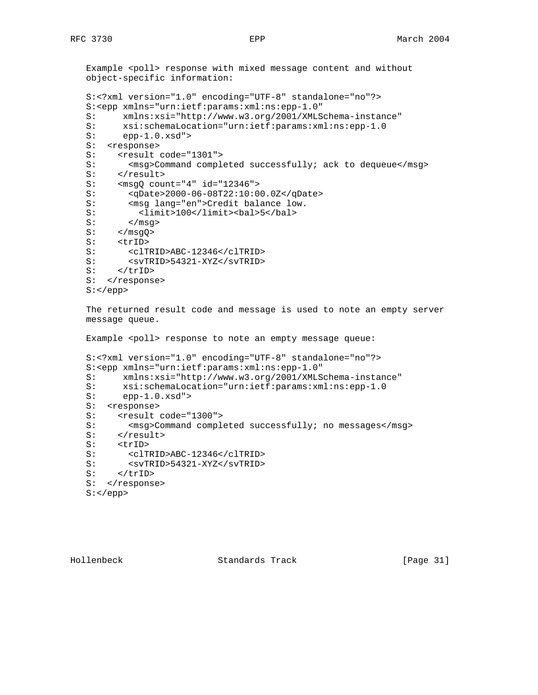Example <poll> response with mixed message content and without object-specific information:

```
 S:<?xml version="1.0" encoding="UTF-8" standalone="no"?>
 S:<epp xmlns="urn:ietf:params:xml:ns:epp-1.0"
 S: xmlns:xsi="http://www.w3.org/2001/XMLSchema-instance"
 S: xsi:schemaLocation="urn:ietf:params:xml:ns:epp-1.0
 S: epp-1.0.xsd">
 S: <response>
S: <result code="1301">
S: <msg>Command completed successfully; ack to dequeue</msg>
S: </result>
 S: <msgQ count="4" id="12346">
 S: <qDate>2000-06-08T22:10:00.0Z</qDate>
S: < msg lang="en">Credit balance low.
 S: <limit>100</limit><bal>5</bal>
S: </msg>
S: </msgQ>
S: <trID>
 S: <clTRID>ABC-12346</clTRID>
S: <svTRID>54321-XYZ</svTRID><br>S: </trID>
     S: </trID>
S: </response>
S: </epp>
 The returned result code and message is used to note an empty server
 message queue.
```
Example <poll> response to note an empty message queue:

```
 S:<?xml version="1.0" encoding="UTF-8" standalone="no"?>
 S:<epp xmlns="urn:ietf:params:xml:ns:epp-1.0"
 S: xmlns:xsi="http://www.w3.org/2001/XMLSchema-instance"
 S: xsi:schemaLocation="urn:ietf:params:xml:ns:epp-1.0
 S: epp-1.0.xsd">
S: <response>
S: <result code="1300">
S: < msg>Command completed successfully; no messages</msg>
S: </result>
S: <trID>
 S: <clTRID>ABC-12346</clTRID>
 S: <svTRID>54321-XYZ</svTRID>
S: </trID>
S: </response>
 S:</epp>
```
Hollenbeck Standards Track [Page 31]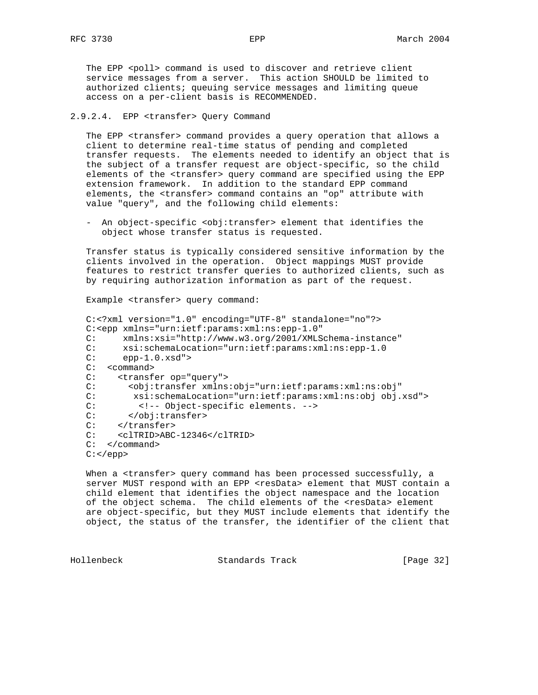The EPP <poll> command is used to discover and retrieve client service messages from a server. This action SHOULD be limited to authorized clients; queuing service messages and limiting queue access on a per-client basis is RECOMMENDED.

# 2.9.2.4. EPP <transfer> Query Command

 The EPP <transfer> command provides a query operation that allows a client to determine real-time status of pending and completed transfer requests. The elements needed to identify an object that is the subject of a transfer request are object-specific, so the child elements of the <transfer> query command are specified using the EPP extension framework. In addition to the standard EPP command elements, the <transfer> command contains an "op" attribute with value "query", and the following child elements:

- An object-specific <obj:transfer> element that identifies the object whose transfer status is requested.

 Transfer status is typically considered sensitive information by the clients involved in the operation. Object mappings MUST provide features to restrict transfer queries to authorized clients, such as by requiring authorization information as part of the request.

Example <transfer> query command:

```
 C:<?xml version="1.0" encoding="UTF-8" standalone="no"?>
 C:<epp xmlns="urn:ietf:params:xml:ns:epp-1.0"
 C: xmlns:xsi="http://www.w3.org/2001/XMLSchema-instance"
C: xsi:schemaLocation="urn:ietf:params:xml:ns:epp-1.0<br>C: epp-1.0.xsd">
         epp-1.0.xsd" C: <command>
 C: <transfer op="query">
 C: <obj:transfer xmlns:obj="urn:ietf:params:xml:ns:obj"
 C: xsi:schemaLocation="urn:ietf:params:xml:ns:obj obj.xsd">
C: \langle -2 \rangle < \langle -2 \rangle = Object-specific elements. \langle -2 \rangle = \langle -2 \rangle = \langle -2 \rangle = \langle -2 \rangle = \langle -2 \rangle = \langle -2 \rangle = \langle -2 \rangle = \langle -2 \rangle = \langle -2 \rangle = \langle -2 \rangle = \langle -2 \rangle = \langle -2 \rangle = \langle -2 \rangle = \langle -2 \rangle = \langle -2 \rangle = \langle -2 \</obj:transfer>
C: </transfer>
 C: <clTRID>ABC-12346</clTRID>
 C: </command>
C: </epp>
```
When a <transfer> query command has been processed successfully, a server MUST respond with an EPP <resData> element that MUST contain a child element that identifies the object namespace and the location of the object schema. The child elements of the <resData> element are object-specific, but they MUST include elements that identify the object, the status of the transfer, the identifier of the client that

Hollenbeck Standards Track [Page 32]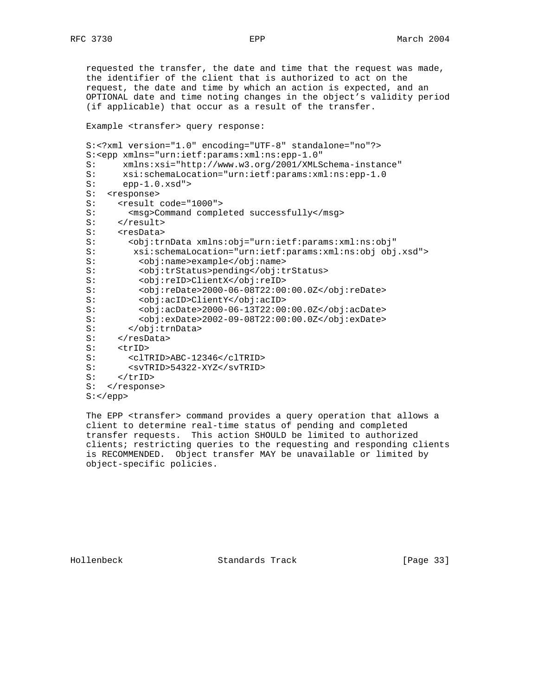requested the transfer, the date and time that the request was made, the identifier of the client that is authorized to act on the request, the date and time by which an action is expected, and an OPTIONAL date and time noting changes in the object's validity period (if applicable) that occur as a result of the transfer.

Example <transfer> query response:

```
 S:<?xml version="1.0" encoding="UTF-8" standalone="no"?>
 S:<epp xmlns="urn:ietf:params:xml:ns:epp-1.0"
 S: xmlns:xsi="http://www.w3.org/2001/XMLSchema-instance"
 S: xsi:schemaLocation="urn:ietf:params:xml:ns:epp-1.0
 S: epp-1.0.xsd">
S: <response>
S: <result code="1000">
S: <msg>Command completed successfully</msg>
S: </result>
S: <resData>
 S: <obj:trnData xmlns:obj="urn:ietf:params:xml:ns:obj"
 S: xsi:schemaLocation="urn:ietf:params:xml:ns:obj obj.xsd">
 S: <obj:name>example</obj:name>
 S: <obj:trStatus>pending</obj:trStatus>
 S: <obj:reID>ClientX</obj:reID>
 S: <obj:reDate>2000-06-08T22:00:00.0Z</obj:reDate>
 S: <obj:acID>ClientY</obj:acID>
 S: <obj:acDate>2000-06-13T22:00:00.0Z</obj:acDate>
 S: <obj:exDate>2002-09-08T22:00:00.0Z</obj:exDate>
S: </obj:trnData>
S: </resData>
S: <trID>
 S: <clTRID>ABC-12346</clTRID>
 S: <svTRID>54322-XYZ</svTRID>
S: </trID>
S: </response>
S: </epp>
```
 The EPP <transfer> command provides a query operation that allows a client to determine real-time status of pending and completed transfer requests. This action SHOULD be limited to authorized clients; restricting queries to the requesting and responding clients is RECOMMENDED. Object transfer MAY be unavailable or limited by object-specific policies.

Hollenbeck Standards Track [Page 33]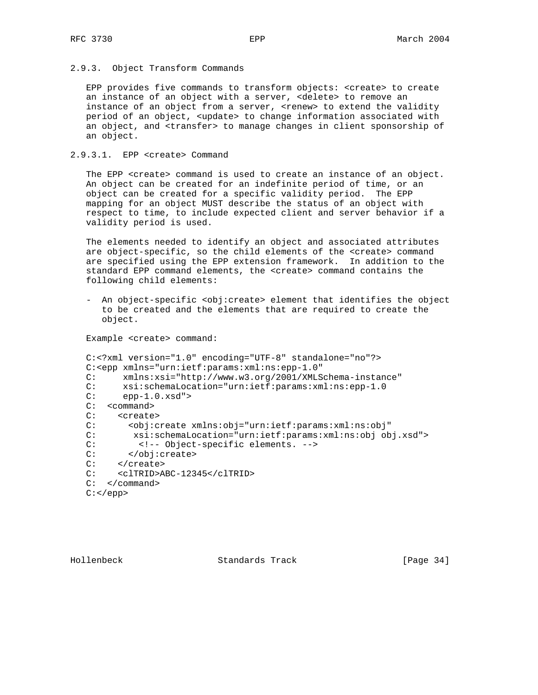## 2.9.3. Object Transform Commands

 EPP provides five commands to transform objects: <create> to create an instance of an object with a server, <delete> to remove an instance of an object from a server, <renew> to extend the validity period of an object, <update> to change information associated with an object, and <transfer> to manage changes in client sponsorship of an object.

## 2.9.3.1. EPP <create> Command

 The EPP <create> command is used to create an instance of an object. An object can be created for an indefinite period of time, or an object can be created for a specific validity period. The EPP mapping for an object MUST describe the status of an object with respect to time, to include expected client and server behavior if a validity period is used.

 The elements needed to identify an object and associated attributes are object-specific, so the child elements of the <create> command are specified using the EPP extension framework. In addition to the standard EPP command elements, the <create> command contains the following child elements:

 - An object-specific <obj:create> element that identifies the object to be created and the elements that are required to create the object.

Example <create> command:

```
 C:<?xml version="1.0" encoding="UTF-8" standalone="no"?>
 C:<epp xmlns="urn:ietf:params:xml:ns:epp-1.0"
 C: xmlns:xsi="http://www.w3.org/2001/XMLSchema-instance"
 C: xsi:schemaLocation="urn:ietf:params:xml:ns:epp-1.0
C: epp-1.0.xsd" C: <command>
 C: <create>
 C: <obj:create xmlns:obj="urn:ietf:params:xml:ns:obj"
 C: xsi:schemaLocation="urn:ietf:params:xml:ns:obj obj.xsd">
 C: <!-- Object-specific elements. -->
 C: </obj:create>
 C: </create>
 C: <clTRID>ABC-12345</clTRID>
 C: </command>
C: </epp>
```
Hollenbeck Standards Track [Page 34]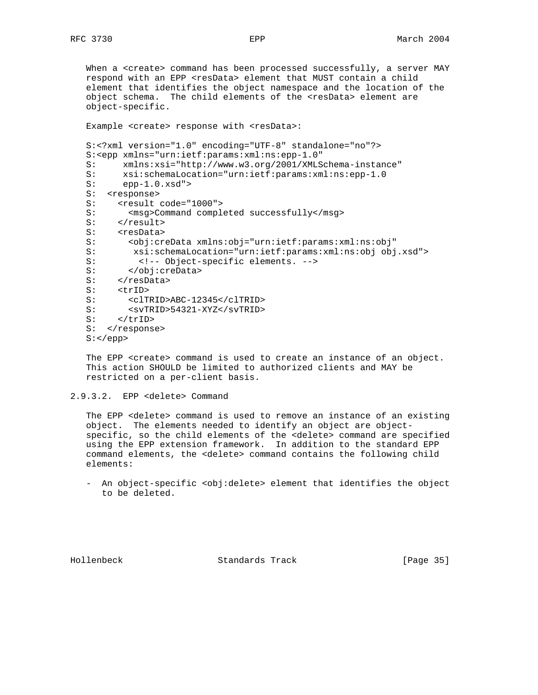When a <create> command has been processed successfully, a server MAY respond with an EPP <resData> element that MUST contain a child element that identifies the object namespace and the location of the object schema. The child elements of the <resData> element are object-specific. Example <create> response with <resData>: S:<?xml version="1.0" encoding="UTF-8" standalone="no"?> S:<epp xmlns="urn:ietf:params:xml:ns:epp-1.0" S: xmlns:xsi="http://www.w3.org/2001/XMLSchema-instance" S: xsi:schemaLocation="urn:ietf:params:xml:ns:epp-1.0 S: epp-1.0.xsd"> S: <response> S: <result code="1000"> S: <msg>Command completed successfully</msg> S: </result> S: <resData> S: <obj:creData xmlns:obj="urn:ietf:params:xml:ns:obj" S: xsi:schemaLocation="urn:ietf:params:xml:ns:obj obj.xsd"> S: <!-- Object-specific elements. --> S: </obj:creData> S: </resData> S: <trID> S: <clTRID>ABC-12345</clTRID> S: <svTRID>54321-XYZ</svTRID> S: </trID> S: </response> S:</epp>

 The EPP <create> command is used to create an instance of an object. This action SHOULD be limited to authorized clients and MAY be restricted on a per-client basis.

```
2.9.3.2. EPP <delete> Command
```
 The EPP <delete> command is used to remove an instance of an existing object. The elements needed to identify an object are object specific, so the child elements of the <delete> command are specified using the EPP extension framework. In addition to the standard EPP command elements, the <delete> command contains the following child elements:

- An object-specific <obj:delete> element that identifies the object to be deleted.

Hollenbeck Standards Track [Page 35]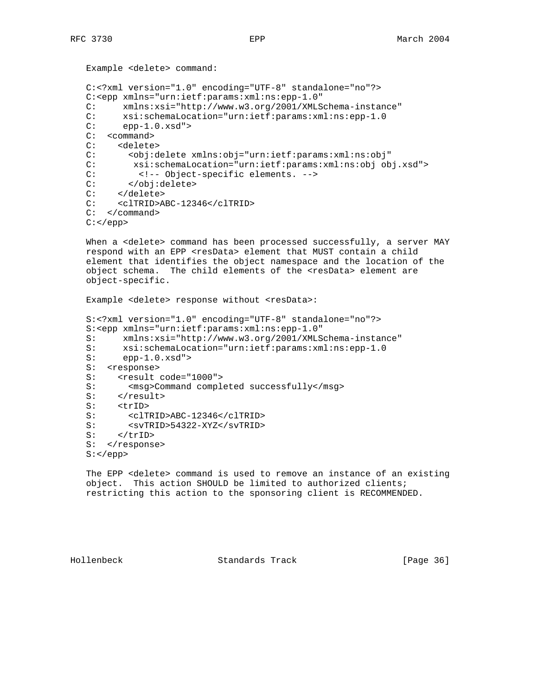```
 Example <delete> command:
 C:<?xml version="1.0" encoding="UTF-8" standalone="no"?>
 C:<epp xmlns="urn:ietf:params:xml:ns:epp-1.0"
 C: xmlns:xsi="http://www.w3.org/2001/XMLSchema-instance"
C: xsi:schemaLocation="urn:ietf:params:xml:ns:epp-1.0<br>C: epp-1.0.xsd">
          epp-1.0.xsd">
 C: <command>
 C: <delete>
 C: <obj:delete xmlns:obj="urn:ietf:params:xml:ns:obj"
 C: xsi:schemaLocation="urn:ietf:params:xml:ns:obj obj.xsd">
C: \langle -2 \rangle < \langle -2 \rangle = Object-specific elements. \langle -2 \rangle = \langle -2 \rangle = \langle 2 \rangle = \langle 2 \rangle = \langle 2 \rangle = \langle 2 \rangle = \langle 2 \rangle = \langle 2 \rangle = \langle 2 \rangle = \langle 2 \rangle = \langle 2 \rangle = \langle 2 \rangle = \langle 2 \rangle = \langle 2 \rangle = \langle 2 \rangle = \langle 2 \ C: </obj:delete>
       </delete>
 C: <clTRID>ABC-12346</clTRID>
 C: </command>
C: </epp>
```
When a <delete> command has been processed successfully, a server MAY respond with an EPP <resData> element that MUST contain a child element that identifies the object namespace and the location of the object schema. The child elements of the <resData> element are object-specific.

Example <delete> response without <resData>:

```
 S:<?xml version="1.0" encoding="UTF-8" standalone="no"?>
 S:<epp xmlns="urn:ietf:params:xml:ns:epp-1.0"
 S: xmlns:xsi="http://www.w3.org/2001/XMLSchema-instance"
S: xsi:schemaLocation="urn:ietf:params:xml:ns:epp-1.0<br>S: epp-1.0.xsd">
      S: epp-1.0.xsd">
 S: <response>
S: <result code="1000">
S: <msg>Command completed successfully</msg>
S: </result>
S: <trID>
 S: <clTRID>ABC-12346</clTRID>
 S: <svTRID>54322-XYZ</svTRID>
S: </trID>
S: </response>
 S:</epp>
```
 The EPP <delete> command is used to remove an instance of an existing object. This action SHOULD be limited to authorized clients; restricting this action to the sponsoring client is RECOMMENDED.

Hollenbeck Standards Track [Page 36]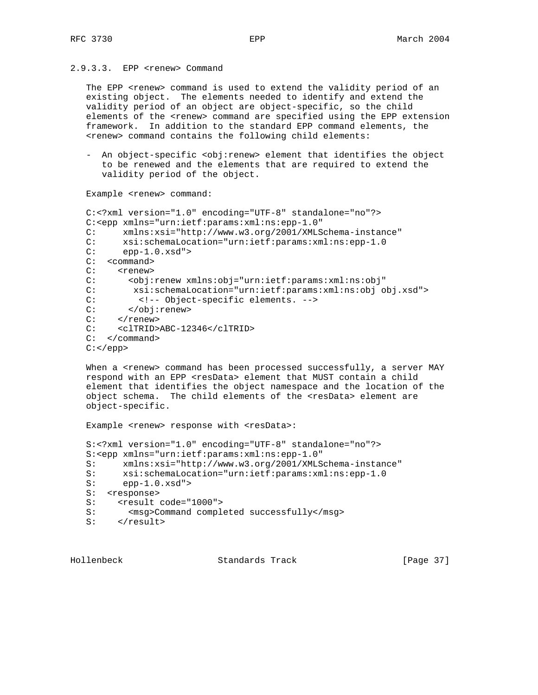# 2.9.3.3. EPP <renew> Command

The EPP <renew> command is used to extend the validity period of an existing object. The elements needed to identify and extend the validity period of an object are object-specific, so the child elements of the <renew> command are specified using the EPP extension framework. In addition to the standard EPP command elements, the <renew> command contains the following child elements:

 - An object-specific <obj:renew> element that identifies the object to be renewed and the elements that are required to extend the validity period of the object.

Example <renew> command:

```
 C:<?xml version="1.0" encoding="UTF-8" standalone="no"?>
 C:<epp xmlns="urn:ietf:params:xml:ns:epp-1.0"
C: xmlns:xsi="http://www.w3.org/2001/XMLSchema-instance"<br>C: xsi:schemaLocation="urn:ietf:params:xml:ns:epp-1.0
      C: xsi:schemaLocation="urn:ietf:params:xml:ns:epp-1.0
C: epp-1.0.xsd" C: <command>
C: <renew>
 C: <obj:renew xmlns:obj="urn:ietf:params:xml:ns:obj"
 C: xsi:schemaLocation="urn:ietf:params:xml:ns:obj obj.xsd">
 C: <!-- Object-specific elements. -->
 C: </obj:renew>
C: </renew>
 C: <clTRID>ABC-12346</clTRID>
 C: </command>
C: </epp>
```
When a <renew> command has been processed successfully, a server MAY respond with an EPP <resData> element that MUST contain a child element that identifies the object namespace and the location of the object schema. The child elements of the <resData> element are object-specific.

Example <renew> response with <resData>:

```
 S:<?xml version="1.0" encoding="UTF-8" standalone="no"?>
 S:<epp xmlns="urn:ietf:params:xml:ns:epp-1.0"
S: xmlns:xsi="http://www.w3.org/2001/XMLSchema-instance"<br>S: xsi:schemaLocation="urn:ietf:params:xml:ns:epp-1.0
      xsi:schemaLocation="urn:ietf:params:xml:ns:epp-1.0
 S: epp-1.0.xsd">
 S: <response>
S: <result code="1000">
 S: <msg>Command completed successfully</msg>
S: </result>
```
Hollenbeck Standards Track [Page 37]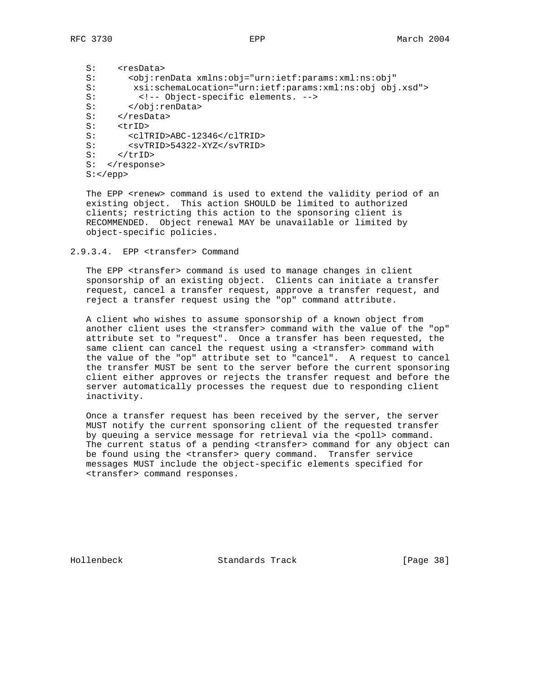S: <resData> S: <obj:renData xmlns:obj="urn:ietf:params:xml:ns:obj" S: xsi:schemaLocation="urn:ietf:params:xml:ns:obj obj.xsd"> S: <!-- Object-specific elements. --> S: </obj:renData> S:<br>S: </resData><br>S: <trID> S: <trID><br>S: <clT S: <clTRID>ABC-12346</clTRID> S: <svTRID>54322-XYZ</svTRID> s: </trID> S: </response>  $S:$  </epp>

The EPP <renew> command is used to extend the validity period of an existing object. This action SHOULD be limited to authorized clients; restricting this action to the sponsoring client is RECOMMENDED. Object renewal MAY be unavailable or limited by object-specific policies.

2.9.3.4. EPP <transfer> Command

 The EPP <transfer> command is used to manage changes in client sponsorship of an existing object. Clients can initiate a transfer request, cancel a transfer request, approve a transfer request, and reject a transfer request using the "op" command attribute.

 A client who wishes to assume sponsorship of a known object from another client uses the <transfer> command with the value of the "op" attribute set to "request". Once a transfer has been requested, the same client can cancel the request using a <transfer> command with the value of the "op" attribute set to "cancel". A request to cancel the transfer MUST be sent to the server before the current sponsoring client either approves or rejects the transfer request and before the server automatically processes the request due to responding client inactivity.

 Once a transfer request has been received by the server, the server MUST notify the current sponsoring client of the requested transfer by queuing a service message for retrieval via the <poll> command. The current status of a pending <transfer> command for any object can be found using the <transfer> query command. Transfer service messages MUST include the object-specific elements specified for <transfer> command responses.

Hollenbeck Standards Track [Page 38]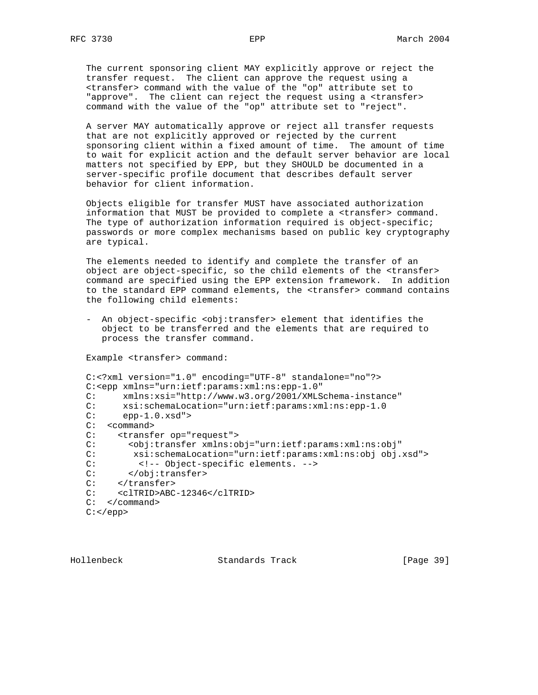The current sponsoring client MAY explicitly approve or reject the transfer request. The client can approve the request using a <transfer> command with the value of the "op" attribute set to "approve". The client can reject the request using a <transfer> command with the value of the "op" attribute set to "reject".

 A server MAY automatically approve or reject all transfer requests that are not explicitly approved or rejected by the current sponsoring client within a fixed amount of time. The amount of time to wait for explicit action and the default server behavior are local matters not specified by EPP, but they SHOULD be documented in a server-specific profile document that describes default server behavior for client information.

 Objects eligible for transfer MUST have associated authorization information that MUST be provided to complete a <transfer> command. The type of authorization information required is object-specific; passwords or more complex mechanisms based on public key cryptography are typical.

 The elements needed to identify and complete the transfer of an object are object-specific, so the child elements of the <transfer> command are specified using the EPP extension framework. In addition to the standard EPP command elements, the <transfer> command contains the following child elements:

- An object-specific <obj:transfer> element that identifies the object to be transferred and the elements that are required to process the transfer command.

Example <transfer> command:

```
 C:<?xml version="1.0" encoding="UTF-8" standalone="no"?>
 C:<epp xmlns="urn:ietf:params:xml:ns:epp-1.0"
 C: xmlns:xsi="http://www.w3.org/2001/XMLSchema-instance"
C: xsi:schemaLocation="urn:ietf:params:xml:ns:epp-1.0<br>C: epp-1.0.xsd">
      epp-1.0.xsd">
 C: <command>
 C: <transfer op="request">
 C: <obj:transfer xmlns:obj="urn:ietf:params:xml:ns:obj"
 C: xsi:schemaLocation="urn:ietf:params:xml:ns:obj obj.xsd">
C: \langle -1, -2 \rangle <!-- Object-specific elements. --> C: \langle -1, 2 \rangle</obj:transfer>
C: </transfer>
 C: <clTRID>ABC-12346</clTRID>
 C: </command>
C: </epp>
```
Hollenbeck Standards Track [Page 39]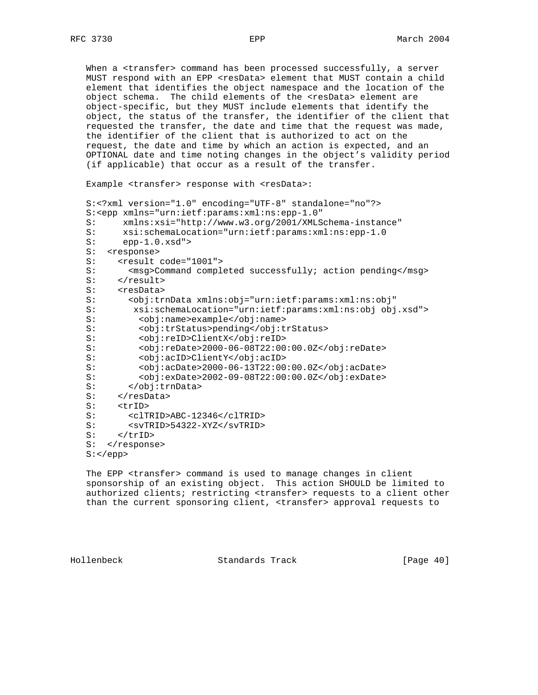When a <transfer> command has been processed successfully, a server MUST respond with an EPP <resData> element that MUST contain a child element that identifies the object namespace and the location of the object schema. The child elements of the <resData> element are object-specific, but they MUST include elements that identify the object, the status of the transfer, the identifier of the client that requested the transfer, the date and time that the request was made, the identifier of the client that is authorized to act on the request, the date and time by which an action is expected, and an OPTIONAL date and time noting changes in the object's validity period (if applicable) that occur as a result of the transfer.

Example <transfer> response with <resData>:

```
 S:<?xml version="1.0" encoding="UTF-8" standalone="no"?>
 S:<epp xmlns="urn:ietf:params:xml:ns:epp-1.0"
 S: xmlns:xsi="http://www.w3.org/2001/XMLSchema-instance"
S: xsi:schemaLocation="urn:ietf:params:xml:ns:epp-1.0<br>S: epp-1.0.xsd">
     epp-1.0.xsd" S: <response>
S: <result code="1001">
S: <msg>Command completed successfully; action pending</msg>
S: </result>
S: <resData>
 S: <obj:trnData xmlns:obj="urn:ietf:params:xml:ns:obj"
 S: xsi:schemaLocation="urn:ietf:params:xml:ns:obj obj.xsd">
 S: <obj:name>example</obj:name>
 S: <obj:trStatus>pending</obj:trStatus>
 S: <obj:reID>ClientX</obj:reID>
S: 
cobj:reDate>2000-06-08T22:00:00.0Z</obj:reDate>
s: <obj:acID>ClientY</obj:acID>
         S: <obj:acID>ClientY</obj:acID>
 S: <obj:acDate>2000-06-13T22:00:00.0Z</obj:acDate>
 S: <obj:exDate>2002-09-08T22:00:00.0Z</obj:exDate>
 S: </obj:trnData>
S: </resData>
 S: <trID>
 S: <clTRID>ABC-12346</clTRID>
 S: <svTRID>54322-XYZ</svTRID>
S: </trID>
S: </response>
S: </epp>
```
 The EPP <transfer> command is used to manage changes in client sponsorship of an existing object. This action SHOULD be limited to authorized clients; restricting <transfer> requests to a client other than the current sponsoring client, <transfer> approval requests to

Hollenbeck Standards Track [Page 40]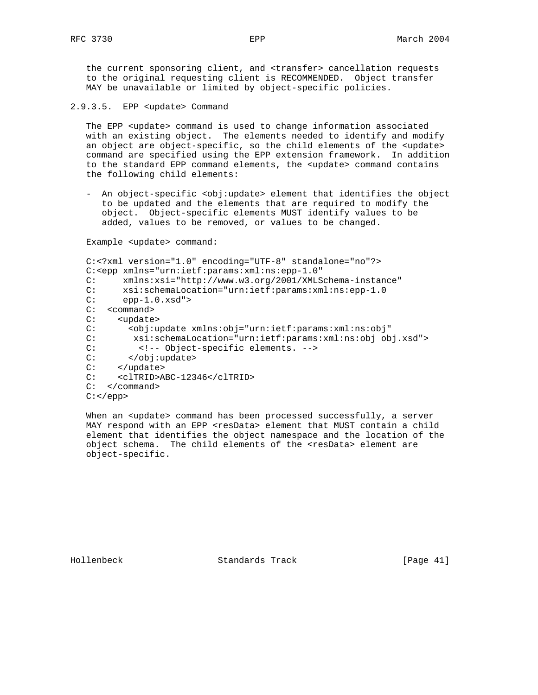the current sponsoring client, and <transfer> cancellation requests to the original requesting client is RECOMMENDED. Object transfer MAY be unavailable or limited by object-specific policies.

2.9.3.5. EPP <update> Command

The EPP <update> command is used to change information associated with an existing object. The elements needed to identify and modify an object are object-specific, so the child elements of the <update> command are specified using the EPP extension framework. In addition to the standard EPP command elements, the <update> command contains the following child elements:

 - An object-specific <obj:update> element that identifies the object to be updated and the elements that are required to modify the object. Object-specific elements MUST identify values to be added, values to be removed, or values to be changed.

Example <update> command:

```
 C:<?xml version="1.0" encoding="UTF-8" standalone="no"?>
 C:<epp xmlns="urn:ietf:params:xml:ns:epp-1.0"
 C: xmlns:xsi="http://www.w3.org/2001/XMLSchema-instance"
C: xsi:schemaLocation="urn:ietf:params:xml:ns:epp-1.0<br>C: epp-1.0.xsd">
         epp-1.0.xsd">
 C: <command>
 C: <update>
 C: <obj:update xmlns:obj="urn:ietf:params:xml:ns:obj"
 C: xsi:schemaLocation="urn:ietf:params:xml:ns:obj obj.xsd">
C: \langle -2 \rangle < \langle -2 \rangle = Object-specific elements. \langle -2 \rangle = \langle -2 \rangle = \langle -2 \rangle = \langle 2 \rangle = \langle 2 \rangle = \langle 2 \rangle = \langle 2 \rangle = \langle 2 \rangle = \langle 2 \rangle = \langle 2 \rangle = \langle 2 \rangle = \langle 2 \rangle = \langle 2 \rangle = \langle 2 \rangle = \langle 2 \rangle = \langle 2 \</obj:update>
C: </update>
 C: <clTRID>ABC-12346</clTRID>
 C: </command>
C: </epp>
```
When an <update> command has been processed successfully, a server MAY respond with an EPP <resData> element that MUST contain a child element that identifies the object namespace and the location of the object schema. The child elements of the <resData> element are object-specific.

Hollenbeck Standards Track [Page 41]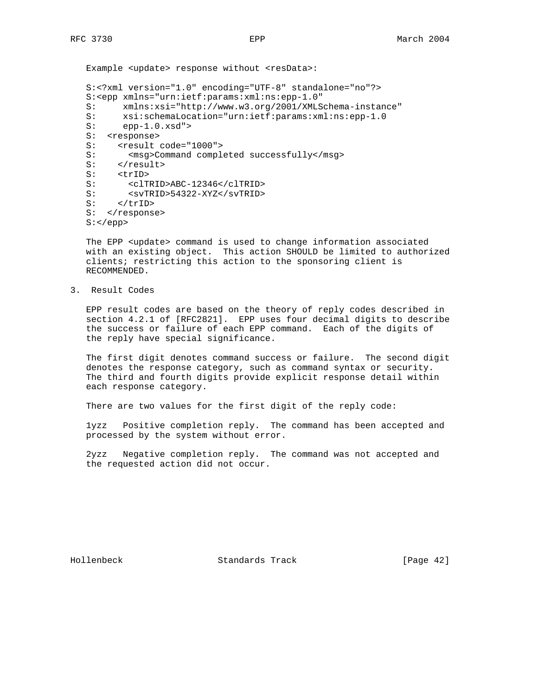Example <update> response without <resData>: S:<?xml version="1.0" encoding="UTF-8" standalone="no"?> S:<epp xmlns="urn:ietf:params:xml:ns:epp-1.0" S: xmlns:xsi="http://www.w3.org/2001/XMLSchema-instance" S: xsi:schemaLocation="urn:ietf:params:xml:ns:epp-1.0<br>S: epp-1.0.xsd"> epp-1.0.xsd"> S: <response> S: <result code="1000"> S: <msg>Command completed successfully</msg> S: </result> S: <trID> S: <clTRID>ABC-12346</clTRID> S: <svTRID>54322-XYZ</svTRID> S: </trID> S: </response> S:</epp>

The EPP <update> command is used to change information associated with an existing object. This action SHOULD be limited to authorized clients; restricting this action to the sponsoring client is RECOMMENDED.

3. Result Codes

 EPP result codes are based on the theory of reply codes described in section 4.2.1 of [RFC2821]. EPP uses four decimal digits to describe the success or failure of each EPP command. Each of the digits of the reply have special significance.

 The first digit denotes command success or failure. The second digit denotes the response category, such as command syntax or security. The third and fourth digits provide explicit response detail within each response category.

There are two values for the first digit of the reply code:

 1yzz Positive completion reply. The command has been accepted and processed by the system without error.

 2yzz Negative completion reply. The command was not accepted and the requested action did not occur.

Hollenbeck Standards Track [Page 42]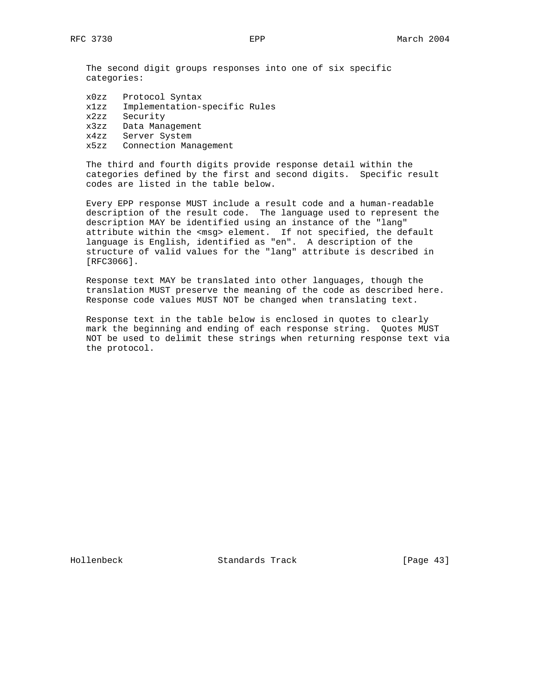The second digit groups responses into one of six specific categories:

| x0zz | Protocol Syntax               |
|------|-------------------------------|
| x1zz | Implementation-specific Rules |
| x2zz | Security                      |
| x3zz | Data Management               |
| x4zz | Server System                 |
| x5zz | Connection Management         |

 The third and fourth digits provide response detail within the categories defined by the first and second digits. Specific result codes are listed in the table below.

 Every EPP response MUST include a result code and a human-readable description of the result code. The language used to represent the description MAY be identified using an instance of the "lang" attribute within the <msg> element. If not specified, the default language is English, identified as "en". A description of the structure of valid values for the "lang" attribute is described in [RFC3066].

 Response text MAY be translated into other languages, though the translation MUST preserve the meaning of the code as described here. Response code values MUST NOT be changed when translating text.

 Response text in the table below is enclosed in quotes to clearly mark the beginning and ending of each response string. Quotes MUST NOT be used to delimit these strings when returning response text via the protocol.

Hollenbeck Standards Track [Page 43]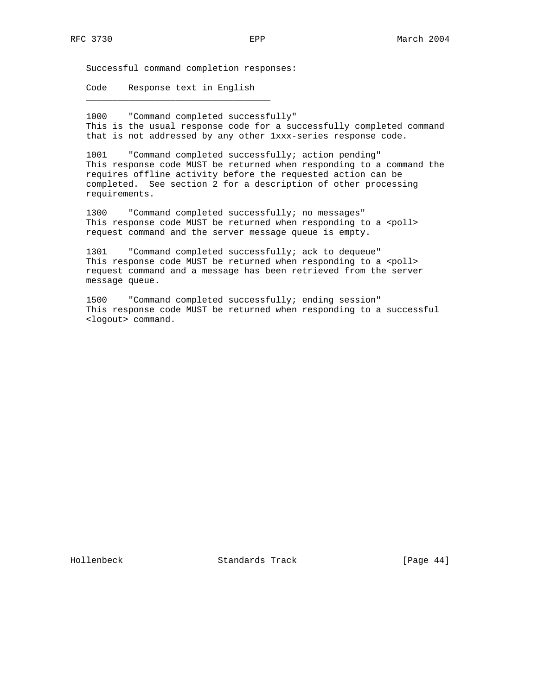Successful command completion responses:

 Code Response text in English \_\_\_\_\_\_\_\_\_\_\_\_\_\_\_\_\_\_\_\_\_\_\_\_\_\_\_\_\_\_\_\_\_\_\_

 1000 "Command completed successfully" This is the usual response code for a successfully completed command that is not addressed by any other 1xxx-series response code.

 1001 "Command completed successfully; action pending" This response code MUST be returned when responding to a command the requires offline activity before the requested action can be completed. See section 2 for a description of other processing requirements.

 1300 "Command completed successfully; no messages" This response code MUST be returned when responding to a <poll> request command and the server message queue is empty.

 1301 "Command completed successfully; ack to dequeue" This response code MUST be returned when responding to a <poll> request command and a message has been retrieved from the server message queue.

 1500 "Command completed successfully; ending session" This response code MUST be returned when responding to a successful <logout> command.

Hollenbeck Standards Track [Page 44]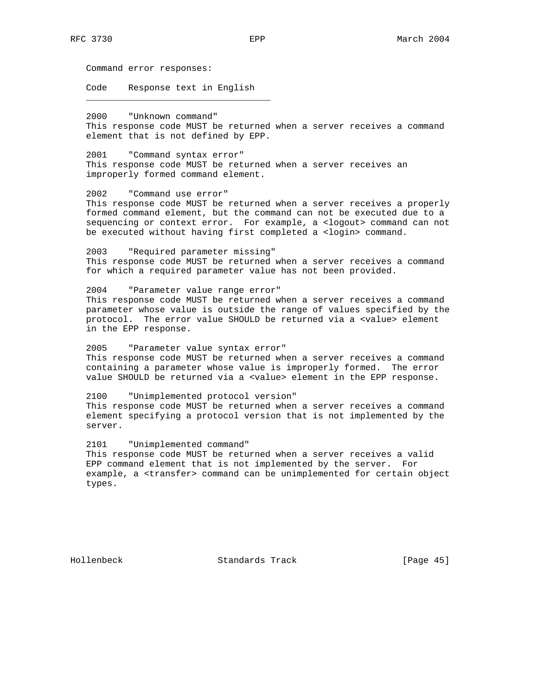Command error responses:

 Code Response text in English \_\_\_\_\_\_\_\_\_\_\_\_\_\_\_\_\_\_\_\_\_\_\_\_\_\_\_\_\_\_\_\_\_\_\_

 2000 "Unknown command" This response code MUST be returned when a server receives a command element that is not defined by EPP.

 2001 "Command syntax error" This response code MUST be returned when a server receives an improperly formed command element.

 2002 "Command use error" This response code MUST be returned when a server receives a properly formed command element, but the command can not be executed due to a sequencing or context error. For example, a <logout> command can not be executed without having first completed a <login> command.

 2003 "Required parameter missing" This response code MUST be returned when a server receives a command for which a required parameter value has not been provided.

 2004 "Parameter value range error" This response code MUST be returned when a server receives a command parameter whose value is outside the range of values specified by the protocol. The error value SHOULD be returned via a <value> element in the EPP response.

 2005 "Parameter value syntax error" This response code MUST be returned when a server receives a command containing a parameter whose value is improperly formed. The error value SHOULD be returned via a <value> element in the EPP response.

 2100 "Unimplemented protocol version" This response code MUST be returned when a server receives a command element specifying a protocol version that is not implemented by the server.

 2101 "Unimplemented command" This response code MUST be returned when a server receives a valid EPP command element that is not implemented by the server. For example, a <transfer> command can be unimplemented for certain object types.

Hollenbeck Standards Track [Page 45]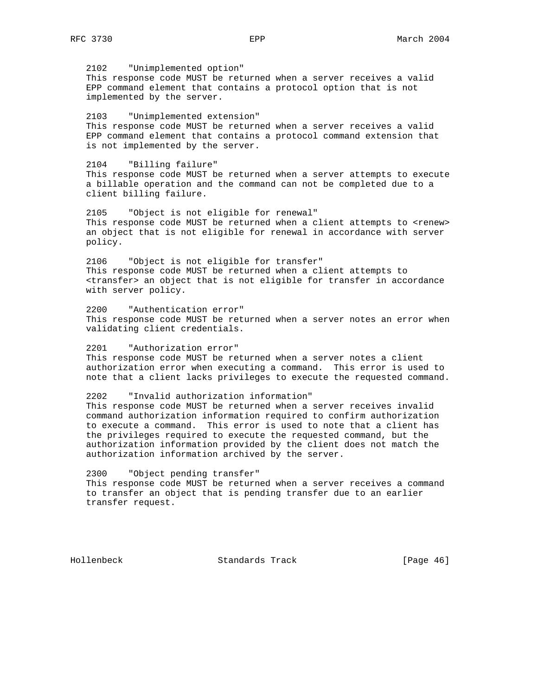2102 "Unimplemented option" This response code MUST be returned when a server receives a valid EPP command element that contains a protocol option that is not implemented by the server. 2103 "Unimplemented extension" This response code MUST be returned when a server receives a valid EPP command element that contains a protocol command extension that is not implemented by the server. 2104 "Billing failure" This response code MUST be returned when a server attempts to execute a billable operation and the command can not be completed due to a client billing failure. 2105 "Object is not eligible for renewal" This response code MUST be returned when a client attempts to <renew> an object that is not eligible for renewal in accordance with server policy.

 2106 "Object is not eligible for transfer" This response code MUST be returned when a client attempts to <transfer> an object that is not eligible for transfer in accordance with server policy.

 2200 "Authentication error" This response code MUST be returned when a server notes an error when validating client credentials.

 2201 "Authorization error" This response code MUST be returned when a server notes a client authorization error when executing a command. This error is used to note that a client lacks privileges to execute the requested command.

 2202 "Invalid authorization information" This response code MUST be returned when a server receives invalid command authorization information required to confirm authorization to execute a command. This error is used to note that a client has the privileges required to execute the requested command, but the authorization information provided by the client does not match the authorization information archived by the server.

 2300 "Object pending transfer" This response code MUST be returned when a server receives a command to transfer an object that is pending transfer due to an earlier transfer request.

Hollenbeck Standards Track [Page 46]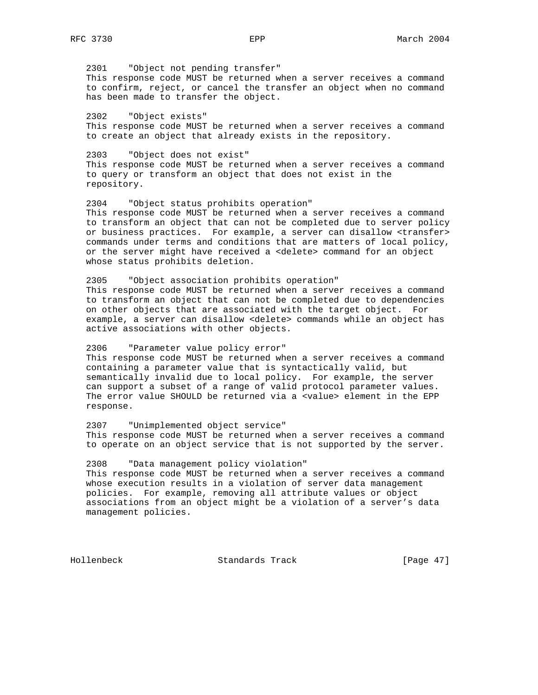2301 "Object not pending transfer" This response code MUST be returned when a server receives a command to confirm, reject, or cancel the transfer an object when no command has been made to transfer the object.

 2302 "Object exists" This response code MUST be returned when a server receives a command to create an object that already exists in the repository.

 2303 "Object does not exist" This response code MUST be returned when a server receives a command to query or transform an object that does not exist in the repository.

 2304 "Object status prohibits operation" This response code MUST be returned when a server receives a command to transform an object that can not be completed due to server policy or business practices. For example, a server can disallow <transfer> commands under terms and conditions that are matters of local policy, or the server might have received a <delete> command for an object whose status prohibits deletion.

 2305 "Object association prohibits operation" This response code MUST be returned when a server receives a command to transform an object that can not be completed due to dependencies on other objects that are associated with the target object. For example, a server can disallow <delete> commands while an object has active associations with other objects.

 2306 "Parameter value policy error" This response code MUST be returned when a server receives a command containing a parameter value that is syntactically valid, but semantically invalid due to local policy. For example, the server can support a subset of a range of valid protocol parameter values. The error value SHOULD be returned via a <value> element in the EPP response.

 2307 "Unimplemented object service" This response code MUST be returned when a server receives a command to operate on an object service that is not supported by the server.

 2308 "Data management policy violation" This response code MUST be returned when a server receives a command whose execution results in a violation of server data management policies. For example, removing all attribute values or object associations from an object might be a violation of a server's data management policies.

Hollenbeck Standards Track [Page 47]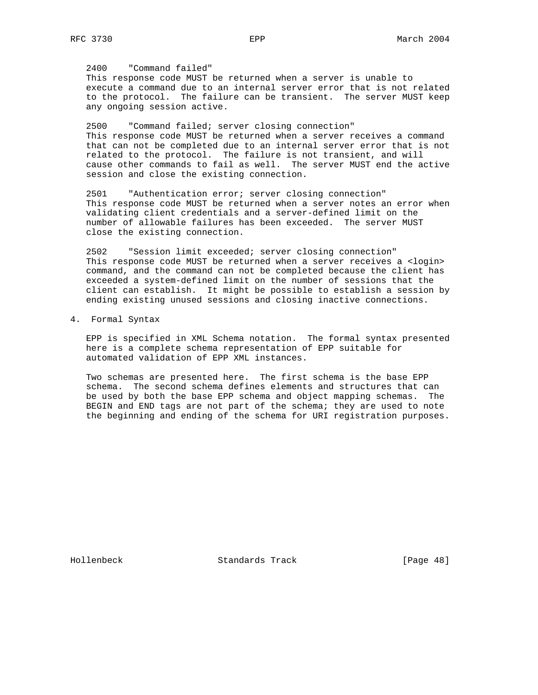2400 "Command failed" This response code MUST be returned when a server is unable to execute a command due to an internal server error that is not related to the protocol. The failure can be transient. The server MUST keep any ongoing session active.

 2500 "Command failed; server closing connection" This response code MUST be returned when a server receives a command that can not be completed due to an internal server error that is not related to the protocol. The failure is not transient, and will cause other commands to fail as well. The server MUST end the active session and close the existing connection.

 2501 "Authentication error; server closing connection" This response code MUST be returned when a server notes an error when validating client credentials and a server-defined limit on the number of allowable failures has been exceeded. The server MUST close the existing connection.

 2502 "Session limit exceeded; server closing connection" This response code MUST be returned when a server receives a <login> command, and the command can not be completed because the client has exceeded a system-defined limit on the number of sessions that the client can establish. It might be possible to establish a session by ending existing unused sessions and closing inactive connections.

4. Formal Syntax

 EPP is specified in XML Schema notation. The formal syntax presented here is a complete schema representation of EPP suitable for automated validation of EPP XML instances.

 Two schemas are presented here. The first schema is the base EPP schema. The second schema defines elements and structures that can be used by both the base EPP schema and object mapping schemas. The BEGIN and END tags are not part of the schema; they are used to note the beginning and ending of the schema for URI registration purposes.

Hollenbeck Standards Track [Page 48]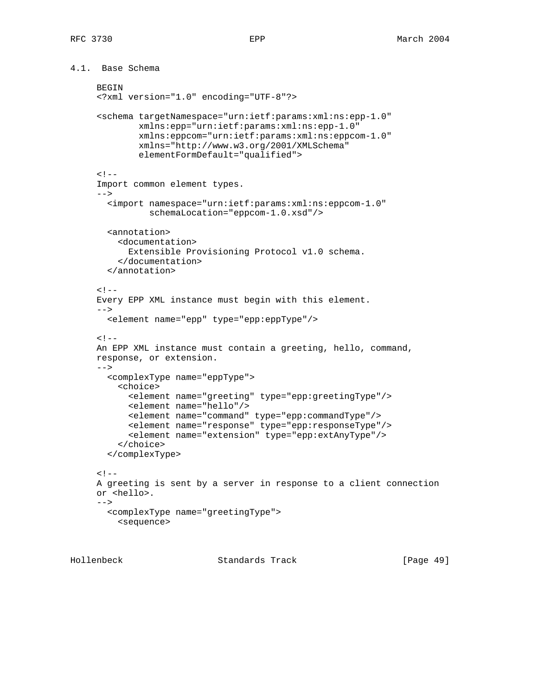4.1. Base Schema

```
BEGIN
 <?xml version="1.0" encoding="UTF-8"?>
 <schema targetNamespace="urn:ietf:params:xml:ns:epp-1.0"
         xmlns:epp="urn:ietf:params:xml:ns:epp-1.0"
         xmlns:eppcom="urn:ietf:params:xml:ns:eppcom-1.0"
         xmlns="http://www.w3.org/2001/XMLSchema"
         elementFormDefault="qualified">
< ! - - Import common element types.
--& <import namespace="urn:ietf:params:xml:ns:eppcom-1.0"
           schemaLocation="eppcom-1.0.xsd"/>
   <annotation>
     <documentation>
       Extensible Provisioning Protocol v1.0 schema.
     </documentation>
   </annotation>
< ! - - Every EPP XML instance must begin with this element.
--& <element name="epp" type="epp:eppType"/>
< ! -- An EPP XML instance must contain a greeting, hello, command,
 response, or extension.
--> <complexType name="eppType">
     <choice>
       <element name="greeting" type="epp:greetingType"/>
       <element name="hello"/>
       <element name="command" type="epp:commandType"/>
       <element name="response" type="epp:responseType"/>
       <element name="extension" type="epp:extAnyType"/>
     </choice>
   </complexType>
< ! -- A greeting is sent by a server in response to a client connection
 or <hello>.
--&> <complexType name="greetingType">
     <sequence>
```
Hollenbeck Standards Track [Page 49]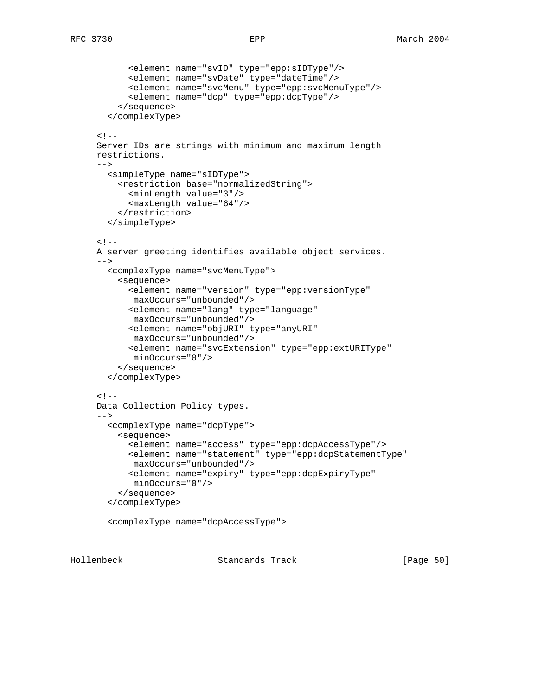```
 <element name="svID" type="epp:sIDType"/>
       <element name="svDate" type="dateTime"/>
       <element name="svcMenu" type="epp:svcMenuType"/>
       <element name="dcp" type="epp:dcpType"/>
     </sequence>
   </complexType>
< ! -- Server IDs are strings with minimum and maximum length
 restrictions.
--& <simpleType name="sIDType">
     <restriction base="normalizedString">
       <minLength value="3"/>
       <maxLength value="64"/>
     </restriction>
   </simpleType>
<! - A server greeting identifies available object services.
--&> <complexType name="svcMenuType">
     <sequence>
       <element name="version" type="epp:versionType"
       maxOccurs="unbounded"/>
       <element name="lang" type="language"
       maxOccurs="unbounded"/>
       <element name="objURI" type="anyURI"
        maxOccurs="unbounded"/>
       <element name="svcExtension" type="epp:extURIType"
        minOccurs="0"/>
     </sequence>
   </complexType>
< ! -- Data Collection Policy types.
-- <complexType name="dcpType">
     <sequence>
       <element name="access" type="epp:dcpAccessType"/>
       <element name="statement" type="epp:dcpStatementType"
        maxOccurs="unbounded"/>
       <element name="expiry" type="epp:dcpExpiryType"
        minOccurs="0"/>
     </sequence>
   </complexType>
   <complexType name="dcpAccessType">
```
Hollenbeck Standards Track [Page 50]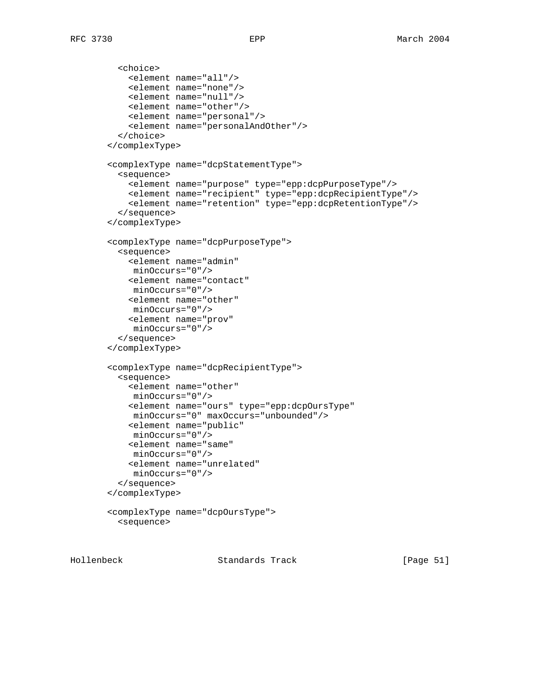```
 <choice>
     <element name="all"/>
     <element name="none"/>
     <element name="null"/>
     <element name="other"/>
     <element name="personal"/>
     <element name="personalAndOther"/>
   </choice>
 </complexType>
 <complexType name="dcpStatementType">
   <sequence>
     <element name="purpose" type="epp:dcpPurposeType"/>
     <element name="recipient" type="epp:dcpRecipientType"/>
     <element name="retention" type="epp:dcpRetentionType"/>
   </sequence>
 </complexType>
 <complexType name="dcpPurposeType">
   <sequence>
     <element name="admin"
     minOccurs="0"/>
     <element name="contact"
     minOccurs="0"/>
     <element name="other"
     minOccurs="0"/>
     <element name="prov"
     minOccurs="0"/>
   </sequence>
 </complexType>
 <complexType name="dcpRecipientType">
   <sequence>
     <element name="other"
     minOccurs="0"/>
     <element name="ours" type="epp:dcpOursType"
     minOccurs="0" maxOccurs="unbounded"/>
     <element name="public"
     minOccurs="0"/>
     <element name="same"
     minOccurs="0"/>
     <element name="unrelated"
     minOccurs="0"/>
   </sequence>
 </complexType>
 <complexType name="dcpOursType">
```

```
 <sequence>
```
Hollenbeck Standards Track [Page 51]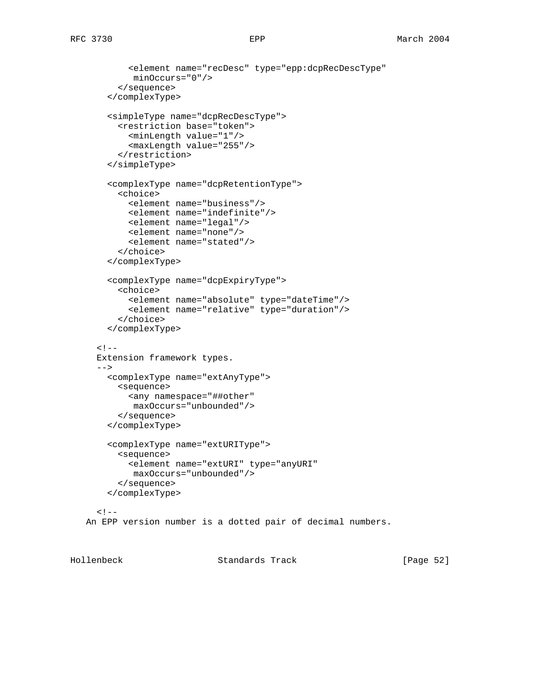```
 <element name="recDesc" type="epp:dcpRecDescType"
          minOccurs="0"/>
       </sequence>
     </complexType>
     <simpleType name="dcpRecDescType">
       <restriction base="token">
         <minLength value="1"/>
         <maxLength value="255"/>
       </restriction>
     </simpleType>
     <complexType name="dcpRetentionType">
       <choice>
         <element name="business"/>
         <element name="indefinite"/>
         <element name="legal"/>
         <element name="none"/>
         <element name="stated"/>
       </choice>
     </complexType>
     <complexType name="dcpExpiryType">
       <choice>
         <element name="absolute" type="dateTime"/>
         <element name="relative" type="duration"/>
       </choice>
     </complexType>
  < ! - - Extension framework types.
   -->
     <complexType name="extAnyType">
       <sequence>
         <any namespace="##other"
          maxOccurs="unbounded"/>
       </sequence>
     </complexType>
     <complexType name="extURIType">
       <sequence>
         <element name="extURI" type="anyURI"
          maxOccurs="unbounded"/>
       </sequence>
     </complexType>
  <! - An EPP version number is a dotted pair of decimal numbers.
```
Hollenbeck Standards Track [Page 52]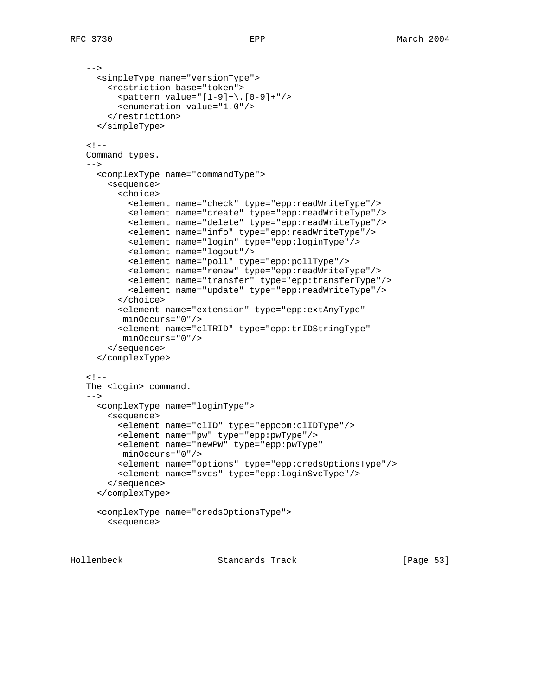```
--&> <simpleType name="versionType">
     <restriction base="token">
      \zeta <pattern value="[1-9]+\.[0-9]+"/>
       <enumeration value="1.0"/>
     </restriction>
   </simpleType>
< ! - - Command types.
--& <complexType name="commandType">
     <sequence>
       <choice>
         <element name="check" type="epp:readWriteType"/>
         <element name="create" type="epp:readWriteType"/>
         <element name="delete" type="epp:readWriteType"/>
         <element name="info" type="epp:readWriteType"/>
         <element name="login" type="epp:loginType"/>
         <element name="logout"/>
         <element name="poll" type="epp:pollType"/>
         <element name="renew" type="epp:readWriteType"/>
         <element name="transfer" type="epp:transferType"/>
         <element name="update" type="epp:readWriteType"/>
       </choice>
       <element name="extension" type="epp:extAnyType"
        minOccurs="0"/>
       <element name="clTRID" type="epp:trIDStringType"
       minOccurs="0"/>
     </sequence>
   </complexType>
< ! - -The <login> command.
--&> <complexType name="loginType">
     <sequence>
       <element name="clID" type="eppcom:clIDType"/>
       <element name="pw" type="epp:pwType"/>
       <element name="newPW" type="epp:pwType"
       minOccurs="0"/>
       <element name="options" type="epp:credsOptionsType"/>
       <element name="svcs" type="epp:loginSvcType"/>
     </sequence>
   </complexType>
   <complexType name="credsOptionsType">
     <sequence>
```
Hollenbeck Standards Track [Page 53]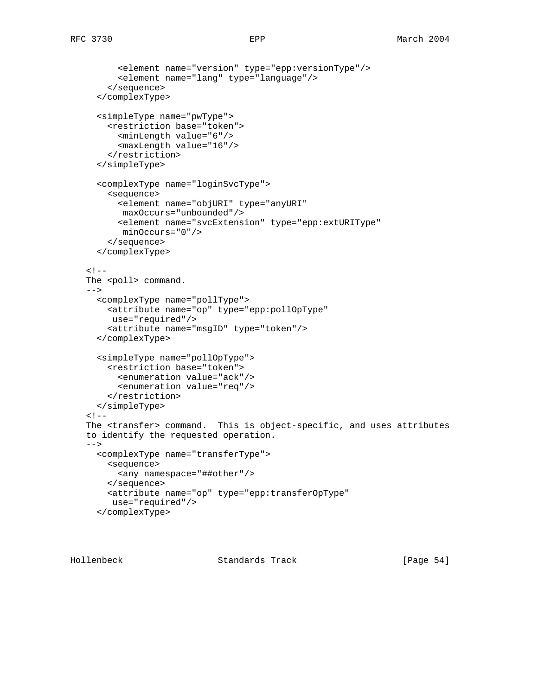```
 <element name="version" type="epp:versionType"/>
       <element name="lang" type="language"/>
     </sequence>
   </complexType>
   <simpleType name="pwType">
     <restriction base="token">
       <minLength value="6"/>
       <maxLength value="16"/>
     </restriction>
   </simpleType>
   <complexType name="loginSvcType">
     <sequence>
       <element name="objURI" type="anyURI"
       maxOccurs="unbounded"/>
       <element name="svcExtension" type="epp:extURIType"
        minOccurs="0"/>
     </sequence>
   </complexType>
<! -The <poll> command.
--&> <complexType name="pollType">
     <attribute name="op" type="epp:pollOpType"
     use="required"/>
     <attribute name="msgID" type="token"/>
   </complexType>
   <simpleType name="pollOpType">
     <restriction base="token">
      <enumeration value="ack"/>
       <enumeration value="req"/>
    </restriction>
   </simpleType>
< ! -- The <transfer> command. This is object-specific, and uses attributes
 to identify the requested operation.
--& <complexType name="transferType">
    <sequence>
       <any namespace="##other"/>
     </sequence>
     <attribute name="op" type="epp:transferOpType"
      use="required"/>
   </complexType>
```
Hollenbeck Standards Track [Page 54]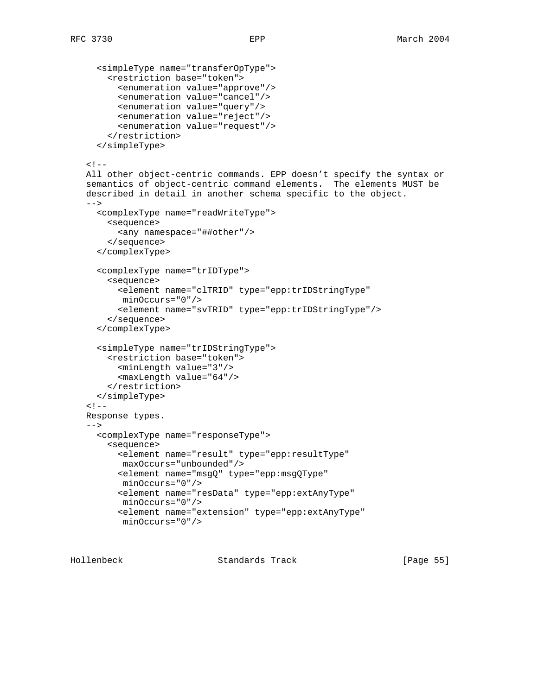```
 <simpleType name="transferOpType">
     <restriction base="token">
       <enumeration value="approve"/>
       <enumeration value="cancel"/>
       <enumeration value="query"/>
       <enumeration value="reject"/>
       <enumeration value="request"/>
     </restriction>
   </simpleType>
< ! -- All other object-centric commands. EPP doesn't specify the syntax or
 semantics of object-centric command elements. The elements MUST be
 described in detail in another schema specific to the object.
--&> <complexType name="readWriteType">
     <sequence>
       <any namespace="##other"/>
     </sequence>
   </complexType>
   <complexType name="trIDType">
     <sequence>
       <element name="clTRID" type="epp:trIDStringType"
       minOccurs="0"/>
       <element name="svTRID" type="epp:trIDStringType"/>
     </sequence>
   </complexType>
   <simpleType name="trIDStringType">
     <restriction base="token">
       <minLength value="3"/>
       <maxLength value="64"/>
     </restriction>
   </simpleType>
< ! - - Response types.
--& <complexType name="responseType">
     <sequence>
       <element name="result" type="epp:resultType"
       maxOccurs="unbounded"/>
       <element name="msgQ" type="epp:msgQType"
       minOccurs="0"/>
       <element name="resData" type="epp:extAnyType"
       minOccurs="0"/>
       <element name="extension" type="epp:extAnyType"
       minOccurs="0"/>
```
Hollenbeck Standards Track [Page 55]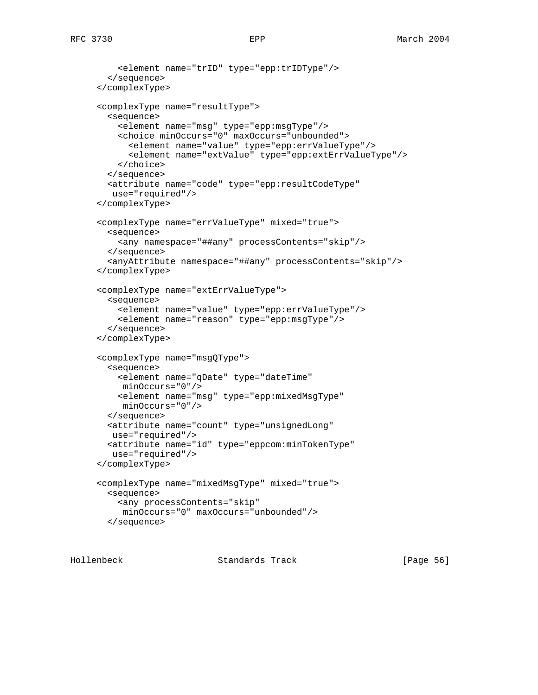```
 <element name="trID" type="epp:trIDType"/>
   </sequence>
 </complexType>
 <complexType name="resultType">
  <sequence>
     <element name="msg" type="epp:msgType"/>
     <choice minOccurs="0" maxOccurs="unbounded">
       <element name="value" type="epp:errValueType"/>
       <element name="extValue" type="epp:extErrValueType"/>
     </choice>
  </sequence>
   <attribute name="code" type="epp:resultCodeType"
   use="required"/>
 </complexType>
 <complexType name="errValueType" mixed="true">
  <sequence>
    <any namespace="##any" processContents="skip"/>
  </sequence>
   <anyAttribute namespace="##any" processContents="skip"/>
 </complexType>
 <complexType name="extErrValueType">
  <sequence>
     <element name="value" type="epp:errValueType"/>
     <element name="reason" type="epp:msgType"/>
   </sequence>
 </complexType>
 <complexType name="msgQType">
  <sequence>
    <element name="qDate" type="dateTime"
     minOccurs="0"/>
    <element name="msg" type="epp:mixedMsgType"
     minOccurs="0"/>
  </sequence>
  <attribute name="count" type="unsignedLong"
   use="required"/>
  <attribute name="id" type="eppcom:minTokenType"
   use="required"/>
 </complexType>
 <complexType name="mixedMsgType" mixed="true">
  <sequence>
    <any processContents="skip"
     minOccurs="0" maxOccurs="unbounded"/>
  </sequence>
```
Hollenbeck Standards Track [Page 56]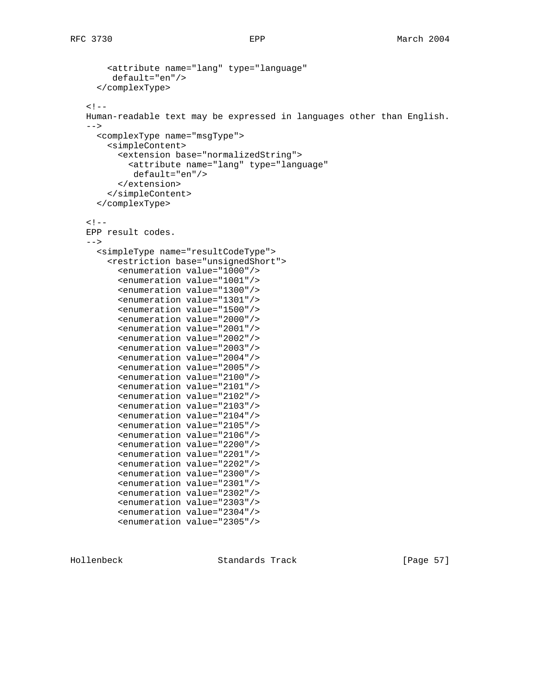```
 <attribute name="lang" type="language"
      default="en"/>
   </complexType>
\lt ! -- Human-readable text may be expressed in languages other than English.
--&> <complexType name="msgType">
     <simpleContent>
       <extension base="normalizedString">
         <attribute name="lang" type="language"
          default="en"/>
       </extension>
     </simpleContent>
   </complexType>
< ! -- EPP result codes.
-- <simpleType name="resultCodeType">
     <restriction base="unsignedShort">
       <enumeration value="1000"/>
       <enumeration value="1001"/>
       <enumeration value="1300"/>
       <enumeration value="1301"/>
       <enumeration value="1500"/>
       <enumeration value="2000"/>
       <enumeration value="2001"/>
       <enumeration value="2002"/>
       <enumeration value="2003"/>
       <enumeration value="2004"/>
       <enumeration value="2005"/>
       <enumeration value="2100"/>
       <enumeration value="2101"/>
       <enumeration value="2102"/>
       <enumeration value="2103"/>
       <enumeration value="2104"/>
       <enumeration value="2105"/>
       <enumeration value="2106"/>
       <enumeration value="2200"/>
       <enumeration value="2201"/>
       <enumeration value="2202"/>
       <enumeration value="2300"/>
       <enumeration value="2301"/>
       <enumeration value="2302"/>
       <enumeration value="2303"/>
       <enumeration value="2304"/>
       <enumeration value="2305"/>
```
Hollenbeck Standards Track [Page 57]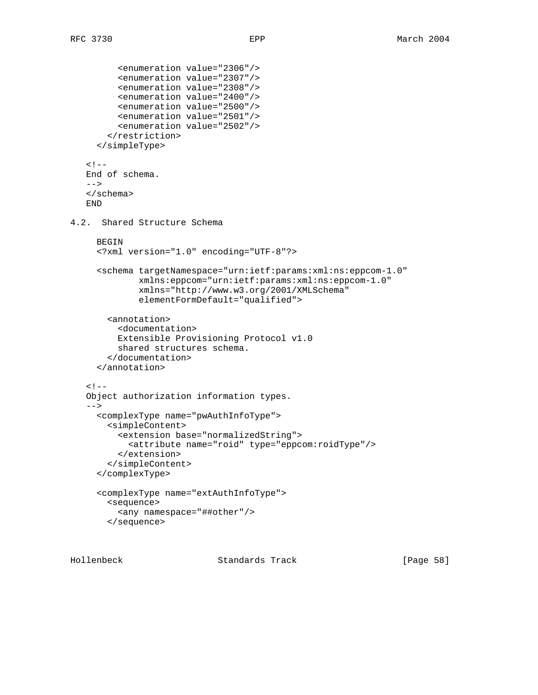```
 <enumeration value="2306"/>
          <enumeration value="2307"/>
          <enumeration value="2308"/>
          <enumeration value="2400"/>
          <enumeration value="2500"/>
          <enumeration value="2501"/>
          <enumeration value="2502"/>
        </restriction>
      </simpleType>
   \lt! --
    End of schema.
   -- </schema>
    END
4.2. Shared Structure Schema
      BEGIN
      <?xml version="1.0" encoding="UTF-8"?>
      <schema targetNamespace="urn:ietf:params:xml:ns:eppcom-1.0"
              xmlns:eppcom="urn:ietf:params:xml:ns:eppcom-1.0"
              xmlns="http://www.w3.org/2001/XMLSchema"
              elementFormDefault="qualified">
        <annotation>
          <documentation>
          Extensible Provisioning Protocol v1.0
          shared structures schema.
        </documentation>
      </annotation>
   <! - Object authorization information types.
   --&> <complexType name="pwAuthInfoType">
        <simpleContent>
          <extension base="normalizedString">
            <attribute name="roid" type="eppcom:roidType"/>
          </extension>
        </simpleContent>
      </complexType>
      <complexType name="extAuthInfoType">
        <sequence>
          <any namespace="##other"/>
        </sequence>
```
Hollenbeck Standards Track [Page 58]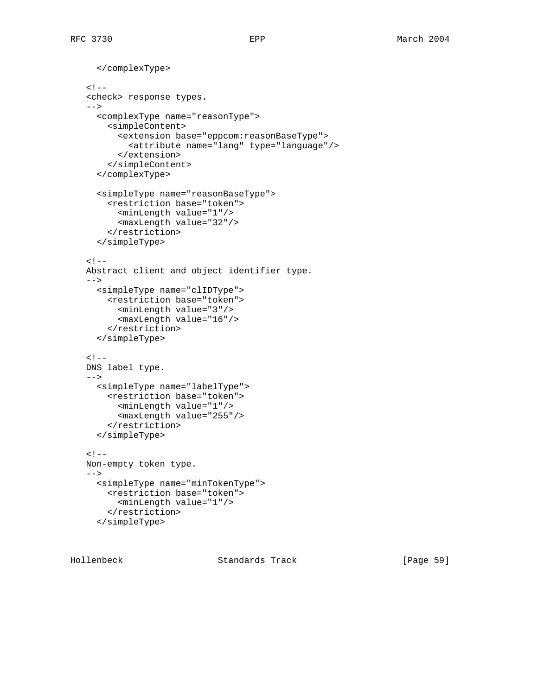```
 </complexType>
< ! - - <check> response types.
--&> <complexType name="reasonType">
     <simpleContent>
       <extension base="eppcom:reasonBaseType">
         <attribute name="lang" type="language"/>
       </extension>
     </simpleContent>
   </complexType>
   <simpleType name="reasonBaseType">
     <restriction base="token">
       <minLength value="1"/>
       <maxLength value="32"/>
     </restriction>
   </simpleType>
\lt! --
 Abstract client and object identifier type.
--& <simpleType name="clIDType">
     <restriction base="token">
       <minLength value="3"/>
       <maxLength value="16"/>
     </restriction>
   </simpleType>
< ! - - DNS label type.
--&> <simpleType name="labelType">
     <restriction base="token">
       <minLength value="1"/>
       <maxLength value="255"/>
     </restriction>
   </simpleType>
\lt ! -- Non-empty token type.
--&> <simpleType name="minTokenType">
     <restriction base="token">
       <minLength value="1"/>
     </restriction>
   </simpleType>
```
Hollenbeck Standards Track [Page 59]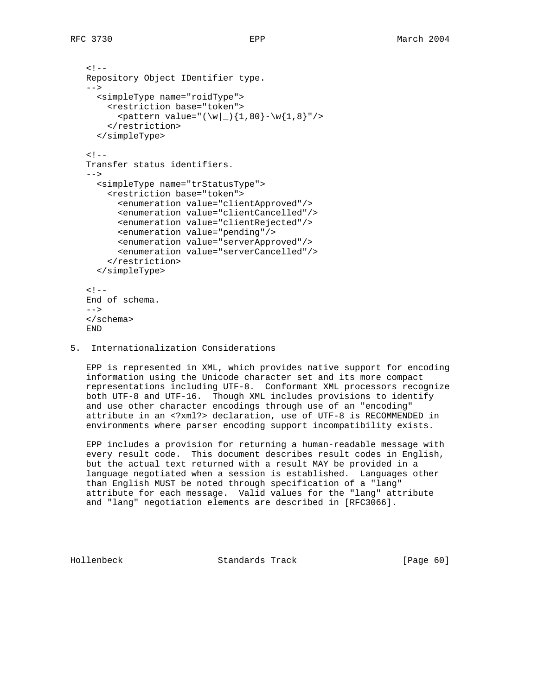```
<! - Repository Object IDentifier type.
 -->
   <simpleType name="roidType">
     <restriction base="token">
      \zeta <pattern value="(\w|_){1,80}-\w{1,8}"/>
     </restriction>
   </simpleType>
<! - Transfer status identifiers.
-- <simpleType name="trStatusType">
     <restriction base="token">
       <enumeration value="clientApproved"/>
       <enumeration value="clientCancelled"/>
       <enumeration value="clientRejected"/>
       <enumeration value="pending"/>
       <enumeration value="serverApproved"/>
       <enumeration value="serverCancelled"/>
     </restriction>
   </simpleType>
< ! - - End of schema.
--&> </schema>
 END
```
5. Internationalization Considerations

 EPP is represented in XML, which provides native support for encoding information using the Unicode character set and its more compact representations including UTF-8. Conformant XML processors recognize both UTF-8 and UTF-16. Though XML includes provisions to identify and use other character encodings through use of an "encoding" attribute in an <?xml?> declaration, use of UTF-8 is RECOMMENDED in environments where parser encoding support incompatibility exists.

 EPP includes a provision for returning a human-readable message with every result code. This document describes result codes in English, but the actual text returned with a result MAY be provided in a language negotiated when a session is established. Languages other than English MUST be noted through specification of a "lang" attribute for each message. Valid values for the "lang" attribute and "lang" negotiation elements are described in [RFC3066].

Hollenbeck Standards Track [Page 60]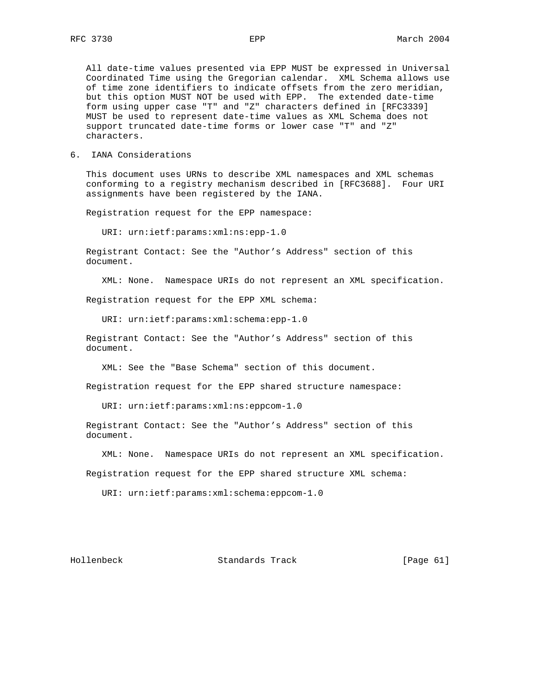All date-time values presented via EPP MUST be expressed in Universal Coordinated Time using the Gregorian calendar. XML Schema allows use of time zone identifiers to indicate offsets from the zero meridian, but this option MUST NOT be used with EPP. The extended date-time form using upper case "T" and "Z" characters defined in [RFC3339] MUST be used to represent date-time values as XML Schema does not support truncated date-time forms or lower case "T" and "Z" characters.

6. IANA Considerations

 This document uses URNs to describe XML namespaces and XML schemas conforming to a registry mechanism described in [RFC3688]. Four URI assignments have been registered by the IANA.

Registration request for the EPP namespace:

URI: urn:ietf:params:xml:ns:epp-1.0

 Registrant Contact: See the "Author's Address" section of this document.

XML: None. Namespace URIs do not represent an XML specification.

Registration request for the EPP XML schema:

URI: urn:ietf:params:xml:schema:epp-1.0

 Registrant Contact: See the "Author's Address" section of this document.

XML: See the "Base Schema" section of this document.

Registration request for the EPP shared structure namespace:

URI: urn:ietf:params:xml:ns:eppcom-1.0

 Registrant Contact: See the "Author's Address" section of this document.

XML: None. Namespace URIs do not represent an XML specification.

Registration request for the EPP shared structure XML schema:

URI: urn:ietf:params:xml:schema:eppcom-1.0

Hollenbeck Standards Track [Page 61]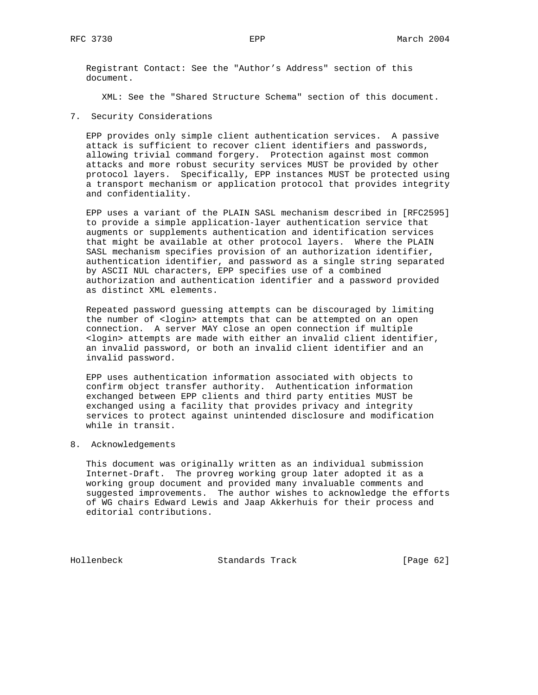Registrant Contact: See the "Author's Address" section of this document.

XML: See the "Shared Structure Schema" section of this document.

7. Security Considerations

 EPP provides only simple client authentication services. A passive attack is sufficient to recover client identifiers and passwords, allowing trivial command forgery. Protection against most common attacks and more robust security services MUST be provided by other protocol layers. Specifically, EPP instances MUST be protected using a transport mechanism or application protocol that provides integrity and confidentiality.

 EPP uses a variant of the PLAIN SASL mechanism described in [RFC2595] to provide a simple application-layer authentication service that augments or supplements authentication and identification services that might be available at other protocol layers. Where the PLAIN SASL mechanism specifies provision of an authorization identifier, authentication identifier, and password as a single string separated by ASCII NUL characters, EPP specifies use of a combined authorization and authentication identifier and a password provided as distinct XML elements.

 Repeated password guessing attempts can be discouraged by limiting the number of <login> attempts that can be attempted on an open connection. A server MAY close an open connection if multiple <login> attempts are made with either an invalid client identifier, an invalid password, or both an invalid client identifier and an invalid password.

 EPP uses authentication information associated with objects to confirm object transfer authority. Authentication information exchanged between EPP clients and third party entities MUST be exchanged using a facility that provides privacy and integrity services to protect against unintended disclosure and modification while in transit.

#### 8. Acknowledgements

 This document was originally written as an individual submission Internet-Draft. The provreg working group later adopted it as a working group document and provided many invaluable comments and suggested improvements. The author wishes to acknowledge the efforts of WG chairs Edward Lewis and Jaap Akkerhuis for their process and editorial contributions.

Hollenbeck Standards Track [Page 62]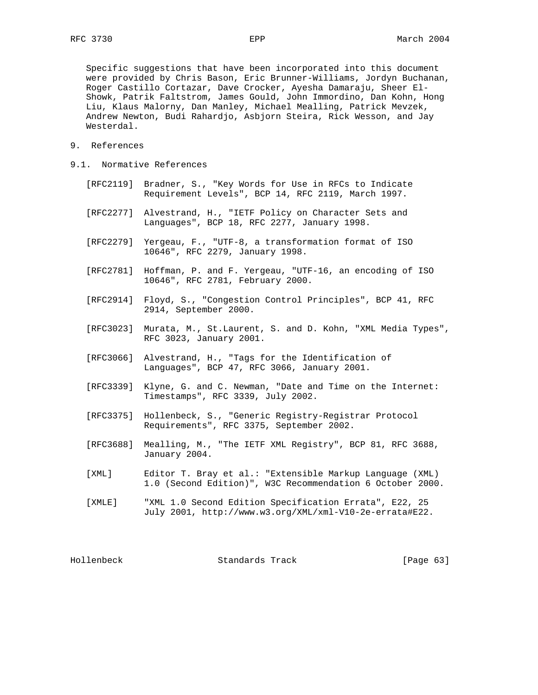Specific suggestions that have been incorporated into this document were provided by Chris Bason, Eric Brunner-Williams, Jordyn Buchanan, Roger Castillo Cortazar, Dave Crocker, Ayesha Damaraju, Sheer El- Showk, Patrik Faltstrom, James Gould, John Immordino, Dan Kohn, Hong Liu, Klaus Malorny, Dan Manley, Michael Mealling, Patrick Mevzek, Andrew Newton, Budi Rahardjo, Asbjorn Steira, Rick Wesson, and Jay Westerdal.

- 9. References
- 9.1. Normative References
	- [RFC2119] Bradner, S., "Key Words for Use in RFCs to Indicate Requirement Levels", BCP 14, RFC 2119, March 1997.
	- [RFC2277] Alvestrand, H., "IETF Policy on Character Sets and Languages", BCP 18, RFC 2277, January 1998.
	- [RFC2279] Yergeau, F., "UTF-8, a transformation format of ISO 10646", RFC 2279, January 1998.
	- [RFC2781] Hoffman, P. and F. Yergeau, "UTF-16, an encoding of ISO 10646", RFC 2781, February 2000.
	- [RFC2914] Floyd, S., "Congestion Control Principles", BCP 41, RFC 2914, September 2000.
	- [RFC3023] Murata, M., St.Laurent, S. and D. Kohn, "XML Media Types", RFC 3023, January 2001.
	- [RFC3066] Alvestrand, H., "Tags for the Identification of Languages", BCP 47, RFC 3066, January 2001.
	- [RFC3339] Klyne, G. and C. Newman, "Date and Time on the Internet: Timestamps", RFC 3339, July 2002.
	- [RFC3375] Hollenbeck, S., "Generic Registry-Registrar Protocol Requirements", RFC 3375, September 2002.
	- [RFC3688] Mealling, M., "The IETF XML Registry", BCP 81, RFC 3688, January 2004.
	- [XML] Editor T. Bray et al.: "Extensible Markup Language (XML) 1.0 (Second Edition)", W3C Recommendation 6 October 2000.
	- [XMLE] "XML 1.0 Second Edition Specification Errata", E22, 25 July 2001, http://www.w3.org/XML/xml-V10-2e-errata#E22.

Hollenbeck Standards Track [Page 63]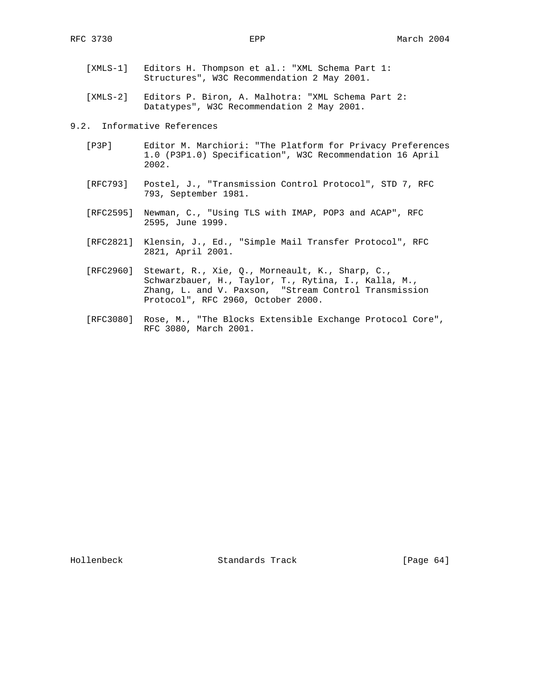- [XMLS-1] Editors H. Thompson et al.: "XML Schema Part 1: Structures", W3C Recommendation 2 May 2001.
- [XMLS-2] Editors P. Biron, A. Malhotra: "XML Schema Part 2: Datatypes", W3C Recommendation 2 May 2001.

9.2. Informative References

- [P3P] Editor M. Marchiori: "The Platform for Privacy Preferences 1.0 (P3P1.0) Specification", W3C Recommendation 16 April 2002.
- [RFC793] Postel, J., "Transmission Control Protocol", STD 7, RFC 793, September 1981.
- [RFC2595] Newman, C., "Using TLS with IMAP, POP3 and ACAP", RFC 2595, June 1999.
- [RFC2821] Klensin, J., Ed., "Simple Mail Transfer Protocol", RFC 2821, April 2001.
- [RFC2960] Stewart, R., Xie, Q., Morneault, K., Sharp, C., Schwarzbauer, H., Taylor, T., Rytina, I., Kalla, M., Zhang, L. and V. Paxson, "Stream Control Transmission Protocol", RFC 2960, October 2000.
- [RFC3080] Rose, M., "The Blocks Extensible Exchange Protocol Core", RFC 3080, March 2001.

Hollenbeck Standards Track [Page 64]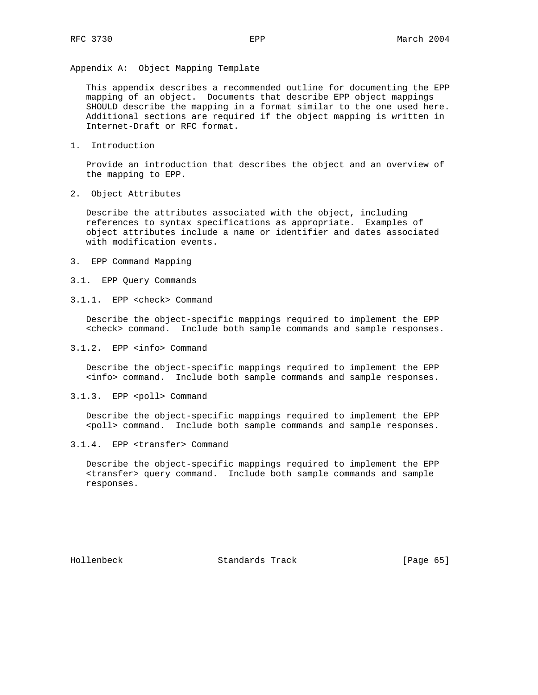Appendix A: Object Mapping Template

 This appendix describes a recommended outline for documenting the EPP mapping of an object. Documents that describe EPP object mappings SHOULD describe the mapping in a format similar to the one used here. Additional sections are required if the object mapping is written in Internet-Draft or RFC format.

1. Introduction

 Provide an introduction that describes the object and an overview of the mapping to EPP.

2. Object Attributes

 Describe the attributes associated with the object, including references to syntax specifications as appropriate. Examples of object attributes include a name or identifier and dates associated with modification events.

- 3. EPP Command Mapping
- 3.1. EPP Query Commands
- 3.1.1. EPP <check> Command

 Describe the object-specific mappings required to implement the EPP <check> command. Include both sample commands and sample responses.

3.1.2. EPP <info> Command

 Describe the object-specific mappings required to implement the EPP <info> command. Include both sample commands and sample responses.

3.1.3. EPP <poll> Command

 Describe the object-specific mappings required to implement the EPP <poll> command. Include both sample commands and sample responses.

3.1.4. EPP <transfer> Command

 Describe the object-specific mappings required to implement the EPP <transfer> query command. Include both sample commands and sample responses.

Hollenbeck Standards Track [Page 65]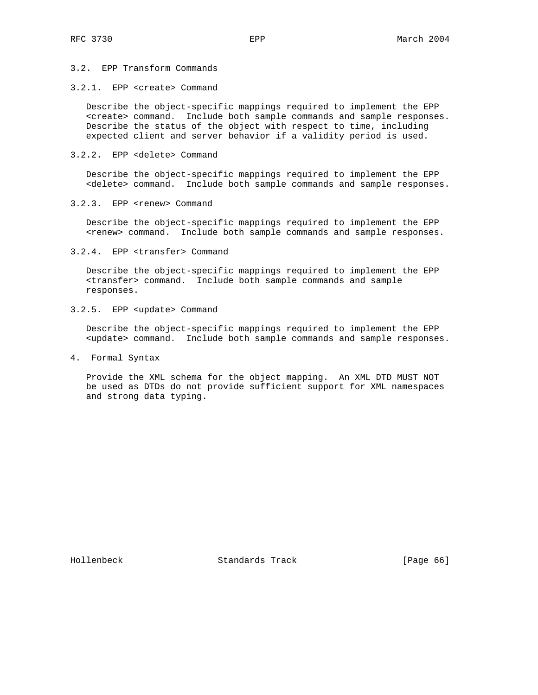# 3.2. EPP Transform Commands

## 3.2.1. EPP <create> Command

 Describe the object-specific mappings required to implement the EPP <create> command. Include both sample commands and sample responses. Describe the status of the object with respect to time, including expected client and server behavior if a validity period is used.

#### 3.2.2. EPP <delete> Command

 Describe the object-specific mappings required to implement the EPP <delete> command. Include both sample commands and sample responses.

#### 3.2.3. EPP <renew> Command

 Describe the object-specific mappings required to implement the EPP <renew> command. Include both sample commands and sample responses.

#### 3.2.4. EPP <transfer> Command

 Describe the object-specific mappings required to implement the EPP <transfer> command. Include both sample commands and sample responses.

# 3.2.5. EPP <update> Command

 Describe the object-specific mappings required to implement the EPP <update> command. Include both sample commands and sample responses.

#### 4. Formal Syntax

 Provide the XML schema for the object mapping. An XML DTD MUST NOT be used as DTDs do not provide sufficient support for XML namespaces and strong data typing.

Hollenbeck Standards Track [Page 66]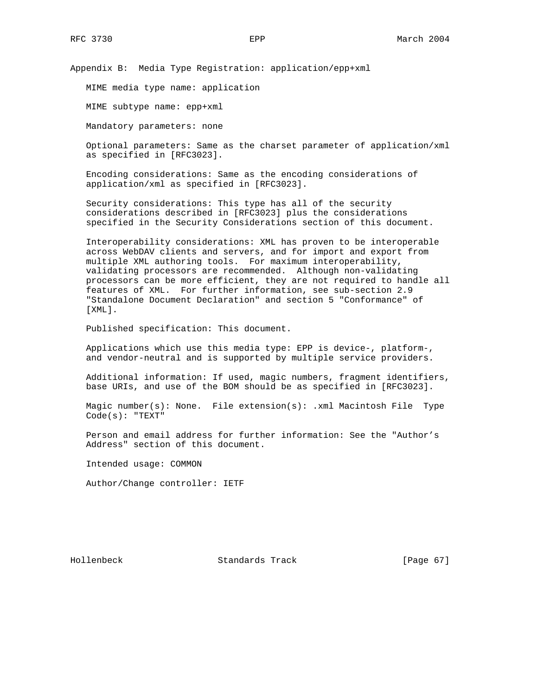Appendix B: Media Type Registration: application/epp+xml

MIME media type name: application

MIME subtype name: epp+xml

Mandatory parameters: none

 Optional parameters: Same as the charset parameter of application/xml as specified in [RFC3023].

 Encoding considerations: Same as the encoding considerations of application/xml as specified in [RFC3023].

 Security considerations: This type has all of the security considerations described in [RFC3023] plus the considerations specified in the Security Considerations section of this document.

 Interoperability considerations: XML has proven to be interoperable across WebDAV clients and servers, and for import and export from multiple XML authoring tools. For maximum interoperability, validating processors are recommended. Although non-validating processors can be more efficient, they are not required to handle all features of XML. For further information, see sub-section 2.9 "Standalone Document Declaration" and section 5 "Conformance" of [XML].

Published specification: This document.

 Applications which use this media type: EPP is device-, platform-, and vendor-neutral and is supported by multiple service providers.

 Additional information: If used, magic numbers, fragment identifiers, base URIs, and use of the BOM should be as specified in [RFC3023].

 Magic number(s): None. File extension(s): .xml Macintosh File Type Code(s): "TEXT"

 Person and email address for further information: See the "Author's Address" section of this document.

Intended usage: COMMON

Author/Change controller: IETF

Hollenbeck Standards Track [Page 67]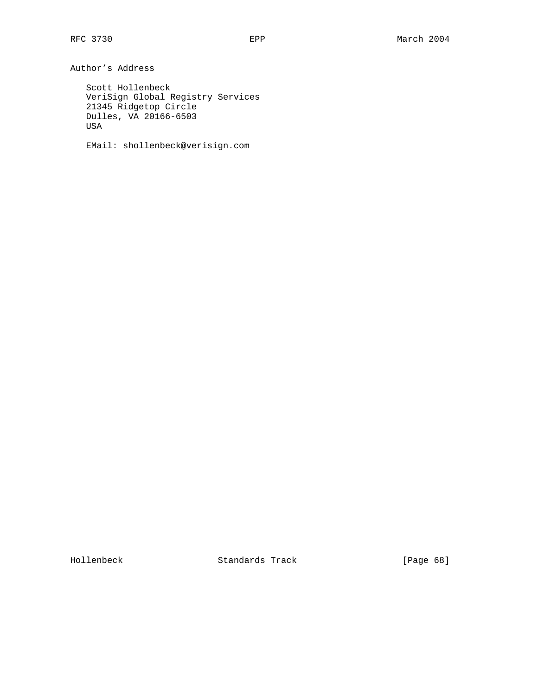Author's Address

 Scott Hollenbeck VeriSign Global Registry Services 21345 Ridgetop Circle Dulles, VA 20166-6503 USA

EMail: shollenbeck@verisign.com

Hollenbeck Standards Track [Page 68]